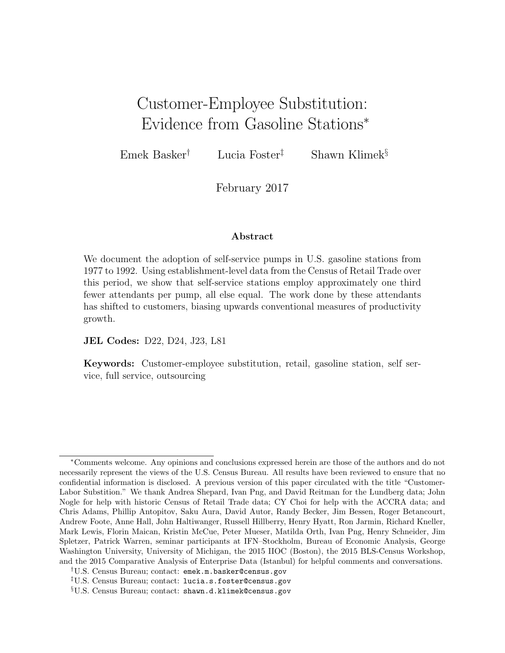# Customer-Employee Substitution: Evidence from Gasoline Stations<sup>∗</sup>

Emek Basker<sup>†</sup> Lucia Foster<sup>†</sup> Shawn Klimek<sup>§</sup>

February 2017

#### Abstract

We document the adoption of self-service pumps in U.S. gasoline stations from 1977 to 1992. Using establishment-level data from the Census of Retail Trade over this period, we show that self-service stations employ approximately one third fewer attendants per pump, all else equal. The work done by these attendants has shifted to customers, biasing upwards conventional measures of productivity growth.

JEL Codes: D22, D24, J23, L81

Keywords: Customer-employee substitution, retail, gasoline station, self service, full service, outsourcing

<sup>∗</sup>Comments welcome. Any opinions and conclusions expressed herein are those of the authors and do not necessarily represent the views of the U.S. Census Bureau. All results have been reviewed to ensure that no confidential information is disclosed. A previous version of this paper circulated with the title "Customer-Labor Substition." We thank Andrea Shepard, Ivan Png, and David Reitman for the Lundberg data; John Nogle for help with historic Census of Retail Trade data; CY Choi for help with the ACCRA data; and Chris Adams, Phillip Antopitov, Saku Aura, David Autor, Randy Becker, Jim Bessen, Roger Betancourt, Andrew Foote, Anne Hall, John Haltiwanger, Russell Hillberry, Henry Hyatt, Ron Jarmin, Richard Kneller, Mark Lewis, Florin Maican, Kristin McCue, Peter Mueser, Matilda Orth, Ivan Png, Henry Schneider, Jim Spletzer, Patrick Warren, seminar participants at IFN–Stockholm, Bureau of Economic Analysis, George Washington University, University of Michigan, the 2015 IIOC (Boston), the 2015 BLS-Census Workshop, and the 2015 Comparative Analysis of Enterprise Data (Istanbul) for helpful comments and conversations.

<sup>†</sup>U.S. Census Bureau; contact: emek.m.basker@census.gov

<sup>‡</sup>U.S. Census Bureau; contact: lucia.s.foster@census.gov §U.S. Census Bureau; contact: shawn.d.klimek@census.gov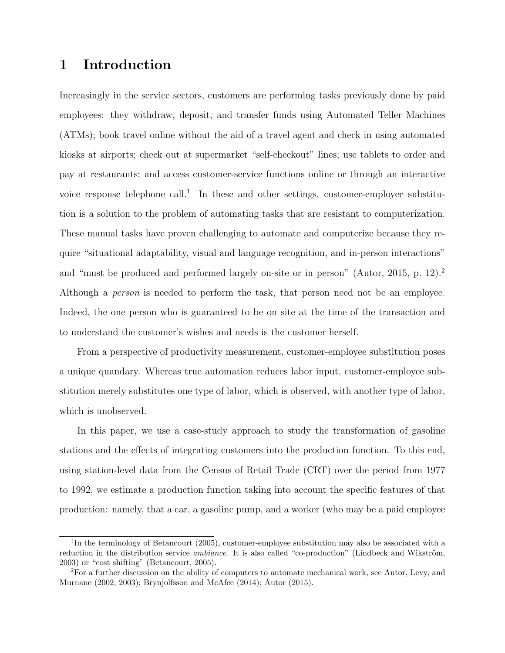# 1 Introduction

Increasingly in the service sectors, customers are performing tasks previously done by paid employees: they withdraw, deposit, and transfer funds using Automated Teller Machines (ATMs); book travel online without the aid of a travel agent and check in using automated kiosks at airports; check out at supermarket "self-checkout" lines; use tablets to order and pay at restaurants; and access customer-service functions online or through an interactive voice response telephone call.<sup>[1](#page-1-0)</sup> In these and other settings, customer-employee substitution is a solution to the problem of automating tasks that are resistant to computerization. These manual tasks have proven challenging to automate and computerize because they require "situational adaptability, visual and language recognition, and in-person interactions" and "must be produced and performed largely on-site or in person" [\(Autor,](#page-30-0) [2015,](#page-30-0) p. 12).[2](#page-1-1) Although a person is needed to perform the task, that person need not be an employee. Indeed, the one person who is guaranteed to be on site at the time of the transaction and to understand the customer's wishes and needs is the customer herself.

From a perspective of productivity measurement, customer-employee substitution poses a unique quandary. Whereas true automation reduces labor input, customer-employee substitution merely substitutes one type of labor, which is observed, with another type of labor, which is unobserved.

In this paper, we use a case-study approach to study the transformation of gasoline stations and the effects of integrating customers into the production function. To this end, using station-level data from the Census of Retail Trade (CRT) over the period from 1977 to 1992, we estimate a production function taking into account the specific features of that production: namely, that a car, a gasoline pump, and a worker (who may be a paid employee

<span id="page-1-0"></span><sup>&</sup>lt;sup>1</sup>In the terminology of [Betancourt](#page-30-1) [\(2005\)](#page-30-1), customer-employee substitution may also be associated with a reduction in the distribution service *ambiance*. It is also called "co-production" (Lindbeck and Wikström, [2003\)](#page-31-0) or "cost shifting" [\(Betancourt,](#page-30-1) [2005\)](#page-30-1).

<span id="page-1-1"></span><sup>2</sup>For a further discussion on the ability of computers to automate mechanical work, see [Autor, Levy, and](#page-30-2) [Murnane](#page-30-2) [\(2002,](#page-30-2) [2003\)](#page-30-3); [Brynjolfsson and McAfee](#page-30-4) [\(2014\)](#page-30-4); [Autor](#page-30-0) [\(2015\)](#page-30-0).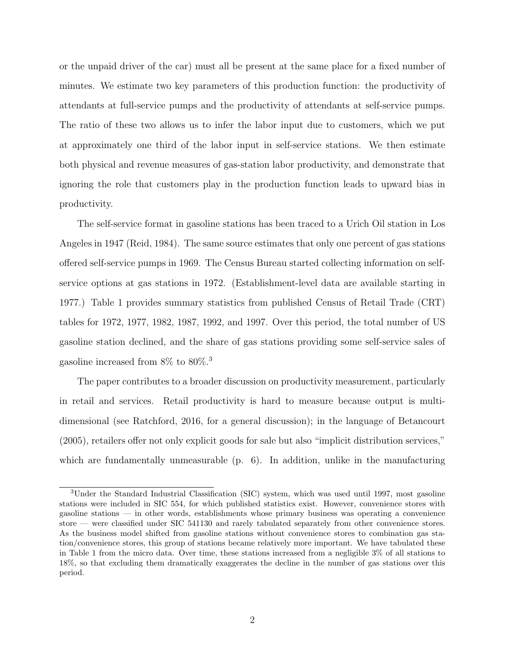or the unpaid driver of the car) must all be present at the same place for a fixed number of minutes. We estimate two key parameters of this production function: the productivity of attendants at full-service pumps and the productivity of attendants at self-service pumps. The ratio of these two allows us to infer the labor input due to customers, which we put at approximately one third of the labor input in self-service stations. We then estimate both physical and revenue measures of gas-station labor productivity, and demonstrate that ignoring the role that customers play in the production function leads to upward bias in productivity.

The self-service format in gasoline stations has been traced to a Urich Oil station in Los Angeles in 1947 [\(Reid,](#page-32-0) [1984\)](#page-32-0). The same source estimates that only one percent of gas stations offered self-service pumps in 1969. The Census Bureau started collecting information on selfservice options at gas stations in 1972. (Establishment-level data are available starting in 1977.) Table [1](#page-37-0) provides summary statistics from published Census of Retail Trade (CRT) tables for 1972, 1977, 1982, 1987, 1992, and 1997. Over this period, the total number of US gasoline station declined, and the share of gas stations providing some self-service sales of gasoline increased from 8% to 80%.[3](#page-2-0)

The paper contributes to a broader discussion on productivity measurement, particularly in retail and services. Retail productivity is hard to measure because output is multidimensional (see [Ratchford,](#page-32-1) [2016,](#page-32-1) for a general discussion); in the language of [Betancourt](#page-30-1) [\(2005\)](#page-30-1), retailers offer not only explicit goods for sale but also "implicit distribution services," which are fundamentally unmeasurable (p. 6). In addition, unlike in the manufacturing

<span id="page-2-0"></span><sup>3</sup>Under the Standard Industrial Classification (SIC) system, which was used until 1997, most gasoline stations were included in SIC 554, for which published statistics exist. However, convenience stores with gasoline stations — in other words, establishments whose primary business was operating a convenience store — were classified under SIC 541130 and rarely tabulated separately from other convenience stores. As the business model shifted from gasoline stations without convenience stores to combination gas station/convenience stores, this group of stations became relatively more important. We have tabulated these in Table [1](#page-37-0) from the micro data. Over time, these stations increased from a negligible 3% of all stations to 18%, so that excluding them dramatically exaggerates the decline in the number of gas stations over this period.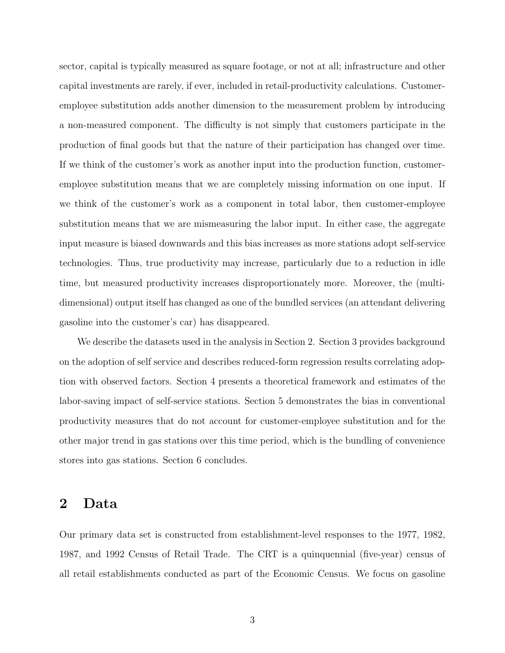sector, capital is typically measured as square footage, or not at all; infrastructure and other capital investments are rarely, if ever, included in retail-productivity calculations. Customeremployee substitution adds another dimension to the measurement problem by introducing a non-measured component. The difficulty is not simply that customers participate in the production of final goods but that the nature of their participation has changed over time. If we think of the customer's work as another input into the production function, customeremployee substitution means that we are completely missing information on one input. If we think of the customer's work as a component in total labor, then customer-employee substitution means that we are mismeasuring the labor input. In either case, the aggregate input measure is biased downwards and this bias increases as more stations adopt self-service technologies. Thus, true productivity may increase, particularly due to a reduction in idle time, but measured productivity increases disproportionately more. Moreover, the (multidimensional) output itself has changed as one of the bundled services (an attendant delivering gasoline into the customer's car) has disappeared.

We describe the datasets used in the analysis in Section [2.](#page-3-0) Section [3](#page-5-0) provides background on the adoption of self service and describes reduced-form regression results correlating adoption with observed factors. Section [4](#page-9-0) presents a theoretical framework and estimates of the labor-saving impact of self-service stations. Section [5](#page-18-0) demonstrates the bias in conventional productivity measures that do not account for customer-employee substitution and for the other major trend in gas stations over this time period, which is the bundling of convenience stores into gas stations. Section [6](#page-22-0) concludes.

### <span id="page-3-0"></span>2 Data

Our primary data set is constructed from establishment-level responses to the 1977, 1982, 1987, and 1992 Census of Retail Trade. The CRT is a quinquennial (five-year) census of all retail establishments conducted as part of the Economic Census. We focus on gasoline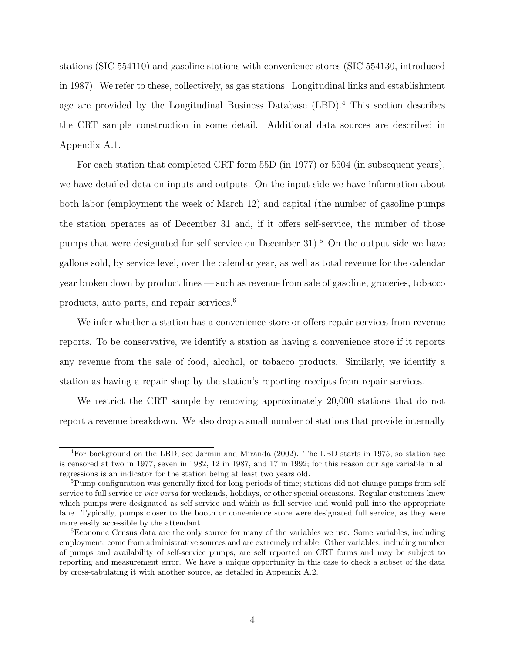stations (SIC 554110) and gasoline stations with convenience stores (SIC 554130, introduced in 1987). We refer to these, collectively, as gas stations. Longitudinal links and establishment age are provided by the Longitudinal Business Database (LBD).<sup>[4](#page-4-0)</sup> This section describes the CRT sample construction in some detail. Additional data sources are described in Appendix [A.1.](#page-25-0)

For each station that completed CRT form 55D (in 1977) or 5504 (in subsequent years), we have detailed data on inputs and outputs. On the input side we have information about both labor (employment the week of March 12) and capital (the number of gasoline pumps the station operates as of December 31 and, if it offers self-service, the number of those pumps that were designated for self service on December 31).<sup>[5](#page-4-1)</sup> On the output side we have gallons sold, by service level, over the calendar year, as well as total revenue for the calendar year broken down by product lines — such as revenue from sale of gasoline, groceries, tobacco products, auto parts, and repair services.[6](#page-4-2)

We infer whether a station has a convenience store or offers repair services from revenue reports. To be conservative, we identify a station as having a convenience store if it reports any revenue from the sale of food, alcohol, or tobacco products. Similarly, we identify a station as having a repair shop by the station's reporting receipts from repair services.

We restrict the CRT sample by removing approximately 20,000 stations that do not report a revenue breakdown. We also drop a small number of stations that provide internally

<span id="page-4-0"></span><sup>&</sup>lt;sup>4</sup>For background on the LBD, see [Jarmin and Miranda](#page-31-1) [\(2002\)](#page-31-1). The LBD starts in 1975, so station age is censored at two in 1977, seven in 1982, 12 in 1987, and 17 in 1992; for this reason our age variable in all regressions is an indicator for the station being at least two years old.

<span id="page-4-1"></span><sup>&</sup>lt;sup>5</sup>Pump configuration was generally fixed for long periods of time; stations did not change pumps from self service to full service or *vice versa* for weekends, holidays, or other special occasions. Regular customers knew which pumps were designated as self service and which as full service and would pull into the appropriate lane. Typically, pumps closer to the booth or convenience store were designated full service, as they were more easily accessible by the attendant.

<span id="page-4-2"></span><sup>&</sup>lt;sup>6</sup>Economic Census data are the only source for many of the variables we use. Some variables, including employment, come from administrative sources and are extremely reliable. Other variables, including number of pumps and availability of self-service pumps, are self reported on CRT forms and may be subject to reporting and measurement error. We have a unique opportunity in this case to check a subset of the data by cross-tabulating it with another source, as detailed in Appendix [A.2.](#page-27-0)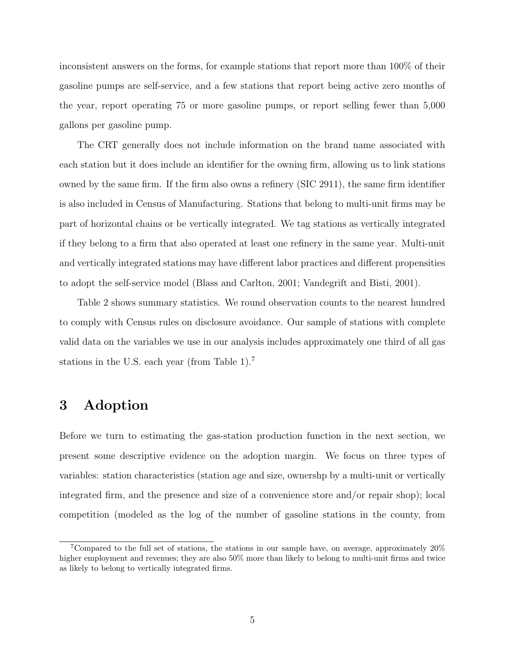inconsistent answers on the forms, for example stations that report more than 100% of their gasoline pumps are self-service, and a few stations that report being active zero months of the year, report operating 75 or more gasoline pumps, or report selling fewer than 5,000 gallons per gasoline pump.

The CRT generally does not include information on the brand name associated with each station but it does include an identifier for the owning firm, allowing us to link stations owned by the same firm. If the firm also owns a refinery (SIC 2911), the same firm identifier is also included in Census of Manufacturing. Stations that belong to multi-unit firms may be part of horizontal chains or be vertically integrated. We tag stations as vertically integrated if they belong to a firm that also operated at least one refinery in the same year. Multi-unit and vertically integrated stations may have different labor practices and different propensities to adopt the self-service model [\(Blass and Carlton,](#page-30-5) [2001;](#page-30-5) [Vandegrift and Bisti,](#page-33-0) [2001\)](#page-33-0).

Table [2](#page-37-1) shows summary statistics. We round observation counts to the nearest hundred to comply with Census rules on disclosure avoidance. Our sample of stations with complete valid data on the variables we use in our analysis includes approximately one third of all gas stations in the U.S. each year (from Table [1\)](#page-37-0).[7](#page-5-1)

# <span id="page-5-0"></span>3 Adoption

Before we turn to estimating the gas-station production function in the next section, we present some descriptive evidence on the adoption margin. We focus on three types of variables: station characteristics (station age and size, ownershp by a multi-unit or vertically integrated firm, and the presence and size of a convenience store and/or repair shop); local competition (modeled as the log of the number of gasoline stations in the county, from

<span id="page-5-1"></span><sup>7</sup>Compared to the full set of stations, the stations in our sample have, on average, approximately 20% higher employment and revenues; they are also  $50\%$  more than likely to belong to multi-unit firms and twice as likely to belong to vertically integrated firms.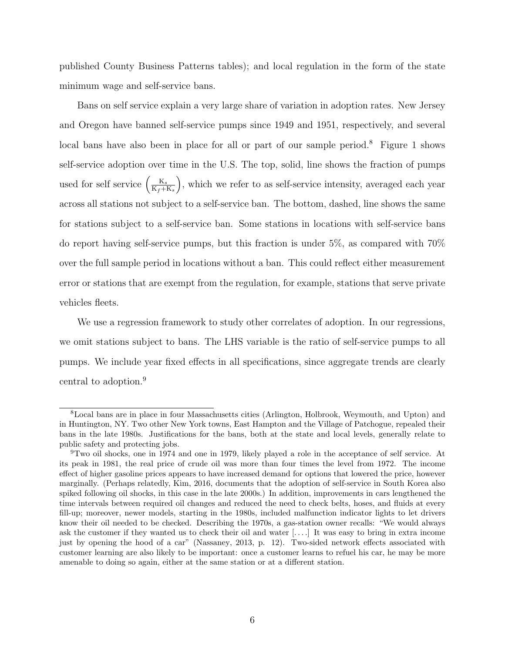published County Business Patterns tables); and local regulation in the form of the state minimum wage and self-service bans.

Bans on self service explain a very large share of variation in adoption rates. New Jersey and Oregon have banned self-service pumps since 1949 and 1951, respectively, and several local bans have also been in place for all or part of our sample period.<sup>[8](#page-6-0)</sup> Figure [1](#page-34-0) shows self-service adoption over time in the U.S. The top, solid, line shows the fraction of pumps used for self service  $\left(\frac{K_s}{K_s+1}\right)$  $K_f+K_s$  , which we refer to as self-service intensity, averaged each year across all stations not subject to a self-service ban. The bottom, dashed, line shows the same for stations subject to a self-service ban. Some stations in locations with self-service bans do report having self-service pumps, but this fraction is under 5%, as compared with 70% over the full sample period in locations without a ban. This could reflect either measurement error or stations that are exempt from the regulation, for example, stations that serve private vehicles fleets.

We use a regression framework to study other correlates of adoption. In our regressions, we omit stations subject to bans. The LHS variable is the ratio of self-service pumps to all pumps. We include year fixed effects in all specifications, since aggregate trends are clearly central to adoption.<sup>[9](#page-6-1)</sup>

<span id="page-6-0"></span><sup>8</sup>Local bans are in place in four Massachusetts cities (Arlington, Holbrook, Weymouth, and Upton) and in Huntington, NY. Two other New York towns, East Hampton and the Village of Patchogue, repealed their bans in the late 1980s. Justifications for the bans, both at the state and local levels, generally relate to public safety and protecting jobs.

<span id="page-6-1"></span><sup>9</sup>Two oil shocks, one in 1974 and one in 1979, likely played a role in the acceptance of self service. At its peak in 1981, the real price of crude oil was more than four times the level from 1972. The income effect of higher gasoline prices appears to have increased demand for options that lowered the price, however marginally. (Perhaps relatedly, [Kim,](#page-31-2) [2016,](#page-31-2) documents that the adoption of self-service in South Korea also spiked following oil shocks, in this case in the late 2000s.) In addition, improvements in cars lengthened the time intervals between required oil changes and reduced the need to check belts, hoses, and fluids at every fill-up; moreover, newer models, starting in the 1980s, included malfunction indicator lights to let drivers know their oil needed to be checked. Describing the 1970s, a gas-station owner recalls: "We would always ask the customer if they wanted us to check their oil and water [. . . .] It was easy to bring in extra income just by opening the hood of a car" [\(Nassaney,](#page-32-2) [2013,](#page-32-2) p. 12). Two-sided network effects associated with customer learning are also likely to be important: once a customer learns to refuel his car, he may be more amenable to doing so again, either at the same station or at a different station.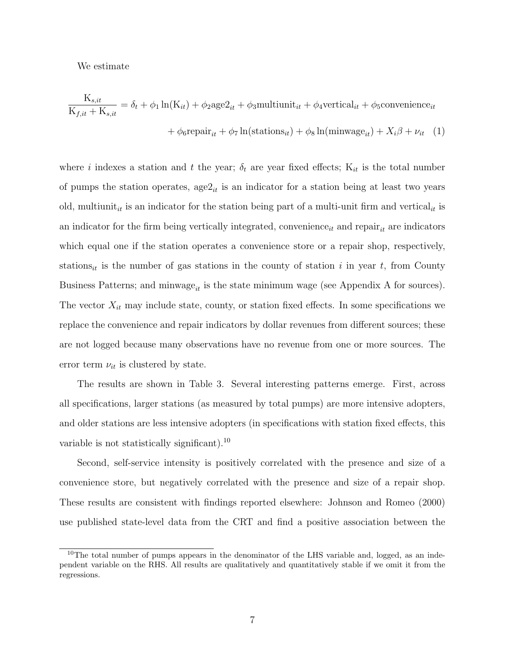We estimate

$$
\frac{K_{s,it}}{K_{f,it} + K_{s,it}} = \delta_t + \phi_1 \ln(K_{it}) + \phi_2 \text{age2}_{it} + \phi_3 \text{multiunit}_{it} + \phi_4 \text{vertical}_{it} + \phi_5 \text{convenience}_{it}
$$

$$
+ \phi_6 \text{repair}_{it} + \phi_7 \ln(\text{stations}_{it}) + \phi_8 \ln(\text{minwage}_{it}) + X_i \beta + \nu_{it} \quad (1)
$$

where i indexes a station and t the year;  $\delta_t$  are year fixed effects;  $K_{it}$  is the total number of pumps the station operates,  $\text{age2}_{it}$  is an indicator for a station being at least two years old, multiunit<sub>it</sub> is an indicator for the station being part of a multi-unit firm and vertical<sub>it</sub> is an indicator for the firm being vertically integrated, convenience<sub>it</sub> and repair<sub>it</sub> are indicators which equal one if the station operates a convenience store or a repair shop, respectively, stations<sub>it</sub> is the number of gas stations in the county of station i in year t, from County Business Patterns; and minwage<sub>it</sub> is the state minimum wage (see [A](#page-25-1)ppendix A for sources). The vector  $X_{it}$  may include state, county, or station fixed effects. In some specifications we replace the convenience and repair indicators by dollar revenues from different sources; these are not logged because many observations have no revenue from one or more sources. The error term  $\nu_{it}$  is clustered by state.

The results are shown in Table [3.](#page-38-0) Several interesting patterns emerge. First, across all specifications, larger stations (as measured by total pumps) are more intensive adopters, and older stations are less intensive adopters (in specifications with station fixed effects, this variable is not statistically significant).[10](#page-7-0)

Second, self-service intensity is positively correlated with the presence and size of a convenience store, but negatively correlated with the presence and size of a repair shop. These results are consistent with findings reported elsewhere: [Johnson and Romeo](#page-31-3) [\(2000\)](#page-31-3) use published state-level data from the CRT and find a positive association between the

<span id="page-7-0"></span> $10$ The total number of pumps appears in the denominator of the LHS variable and, logged, as an independent variable on the RHS. All results are qualitatively and quantitatively stable if we omit it from the regressions.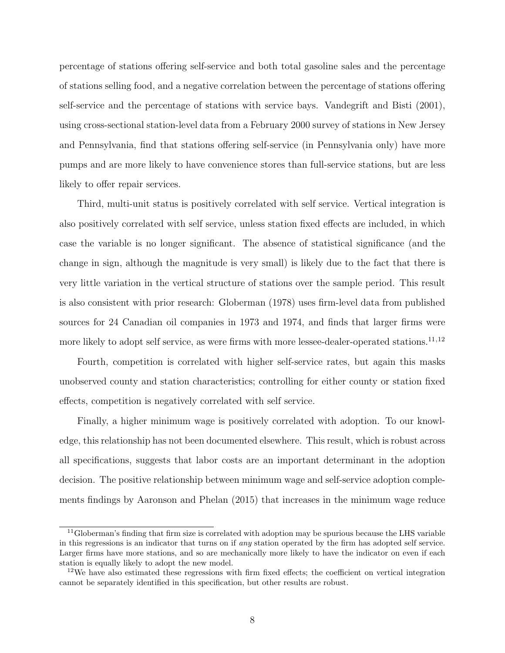percentage of stations offering self-service and both total gasoline sales and the percentage of stations selling food, and a negative correlation between the percentage of stations offering self-service and the percentage of stations with service bays. [Vandegrift and Bisti](#page-33-0) [\(2001\)](#page-33-0), using cross-sectional station-level data from a February 2000 survey of stations in New Jersey and Pennsylvania, find that stations offering self-service (in Pennsylvania only) have more pumps and are more likely to have convenience stores than full-service stations, but are less likely to offer repair services.

Third, multi-unit status is positively correlated with self service. Vertical integration is also positively correlated with self service, unless station fixed effects are included, in which case the variable is no longer significant. The absence of statistical significance (and the change in sign, although the magnitude is very small) is likely due to the fact that there is very little variation in the vertical structure of stations over the sample period. This result is also consistent with prior research: [Globerman](#page-31-4) [\(1978\)](#page-31-4) uses firm-level data from published sources for 24 Canadian oil companies in 1973 and 1974, and finds that larger firms were more likely to adopt self service, as were firms with more lessee-dealer-operated stations.<sup>[11](#page-8-0),[12](#page-8-1)</sup>

Fourth, competition is correlated with higher self-service rates, but again this masks unobserved county and station characteristics; controlling for either county or station fixed effects, competition is negatively correlated with self service.

Finally, a higher minimum wage is positively correlated with adoption. To our knowledge, this relationship has not been documented elsewhere. This result, which is robust across all specifications, suggests that labor costs are an important determinant in the adoption decision. The positive relationship between minimum wage and self-service adoption complements findings by [Aaronson and Phelan](#page-30-6) [\(2015\)](#page-30-6) that increases in the minimum wage reduce

<span id="page-8-0"></span><sup>&</sup>lt;sup>11</sup>[Globerman'](#page-31-4)s finding that firm size is correlated with adoption may be spurious because the LHS variable in this regressions is an indicator that turns on if any station operated by the firm has adopted self service. Larger firms have more stations, and so are mechanically more likely to have the indicator on even if each station is equally likely to adopt the new model.

<span id="page-8-1"></span> $12$ We have also estimated these regressions with firm fixed effects; the coefficient on vertical integration cannot be separately identified in this specification, but other results are robust.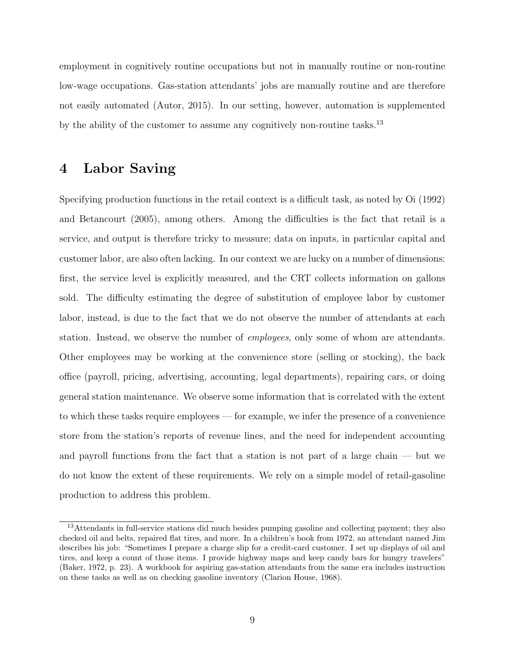employment in cognitively routine occupations but not in manually routine or non-routine low-wage occupations. Gas-station attendants' jobs are manually routine and are therefore not easily automated [\(Autor,](#page-30-0) [2015\)](#page-30-0). In our setting, however, automation is supplemented by the ability of the customer to assume any cognitively non-routine tasks.<sup>[13](#page-9-1)</sup>

## <span id="page-9-0"></span>4 Labor Saving

Specifying production functions in the retail context is a difficult task, as noted by [Oi](#page-32-3) [\(1992\)](#page-32-3) and [Betancourt](#page-30-1) [\(2005\)](#page-30-1), among others. Among the difficulties is the fact that retail is a service, and output is therefore tricky to measure; data on inputs, in particular capital and customer labor, are also often lacking. In our context we are lucky on a number of dimensions: first, the service level is explicitly measured, and the CRT collects information on gallons sold. The difficulty estimating the degree of substitution of employee labor by customer labor, instead, is due to the fact that we do not observe the number of attendants at each station. Instead, we observe the number of *employees*, only some of whom are attendants. Other employees may be working at the convenience store (selling or stocking), the back office (payroll, pricing, advertising, accounting, legal departments), repairing cars, or doing general station maintenance. We observe some information that is correlated with the extent to which these tasks require employees — for example, we infer the presence of a convenience store from the station's reports of revenue lines, and the need for independent accounting and payroll functions from the fact that a station is not part of a large chain — but we do not know the extent of these requirements. We rely on a simple model of retail-gasoline production to address this problem.

<span id="page-9-1"></span><sup>&</sup>lt;sup>13</sup>Attendants in full-service stations did much besides pumping gasoline and collecting payment; they also checked oil and belts, repaired flat tires, and more. In a children's book from 1972, an attendant named Jim describes his job: "Sometimes I prepare a charge slip for a credit-card customer. I set up displays of oil and tires, and keep a count of those items. I provide highway maps and keep candy bars for hungry travelers" [\(Baker,](#page-30-7) [1972,](#page-30-7) p. 23). A workbook for aspiring gas-station attendants from the same era includes instruction on these tasks as well as on checking gasoline inventory [\(Clarion House,](#page-30-8) [1968\)](#page-30-8).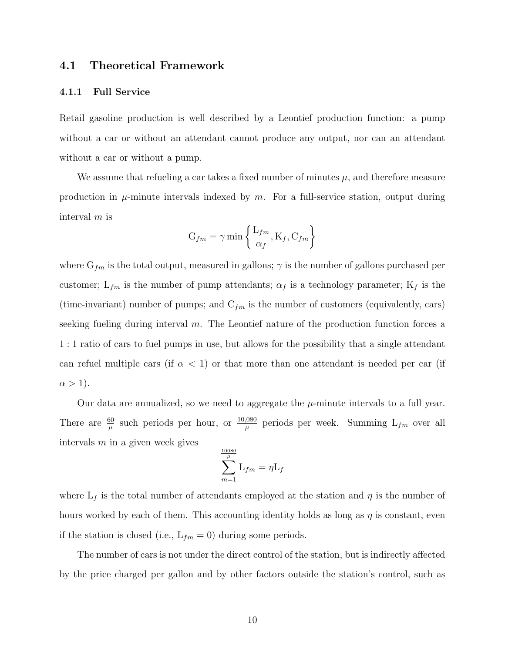### 4.1 Theoretical Framework

#### 4.1.1 Full Service

Retail gasoline production is well described by a Leontief production function: a pump without a car or without an attendant cannot produce any output, nor can an attendant without a car or without a pump.

We assume that refueling a car takes a fixed number of minutes  $\mu$ , and therefore measure production in  $\mu$ -minute intervals indexed by m. For a full-service station, output during interval m is

$$
G_{fm} = \gamma \min \left\{ \frac{L_{fm}}{\alpha_f}, K_f, C_{fm} \right\}
$$

where  $G_{fm}$  is the total output, measured in gallons;  $\gamma$  is the number of gallons purchased per customer;  $L_{fm}$  is the number of pump attendants;  $\alpha_f$  is a technology parameter;  $K_f$  is the (time-invariant) number of pumps; and  $C_{fm}$  is the number of customers (equivalently, cars) seeking fueling during interval  $m$ . The Leontief nature of the production function forces a 1 : 1 ratio of cars to fuel pumps in use, but allows for the possibility that a single attendant can refuel multiple cars (if  $\alpha$  < 1) or that more than one attendant is needed per car (if  $\alpha > 1$ ).

Our data are annualized, so we need to aggregate the  $\mu$ -minute intervals to a full year. There are  $\frac{60}{\mu}$  such periods per hour, or  $\frac{10,080}{\mu}$  periods per week. Summing  $L_{fm}$  over all intervals  $m$  in a given week gives

$$
\sum_{m=1}^{\frac{10080}{\mu}} L_{fm} = \eta L_f
$$

where  $L_f$  is the total number of attendants employed at the station and  $\eta$  is the number of hours worked by each of them. This accounting identity holds as long as  $\eta$  is constant, even if the station is closed (i.e.,  $L_{fm} = 0$ ) during some periods.

The number of cars is not under the direct control of the station, but is indirectly affected by the price charged per gallon and by other factors outside the station's control, such as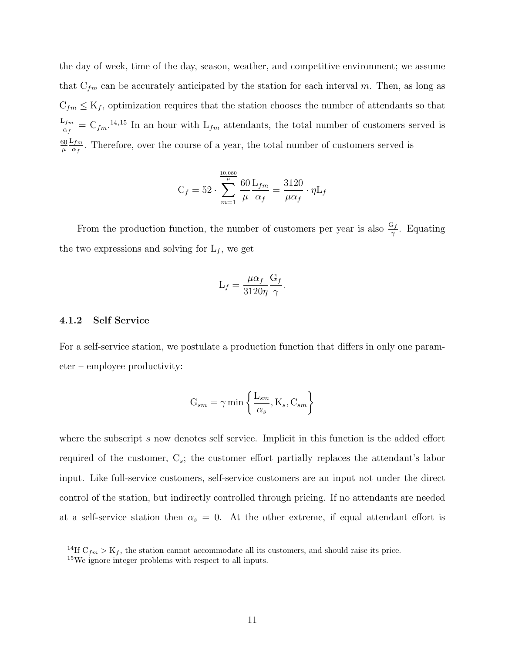the day of week, time of the day, season, weather, and competitive environment; we assume that  $C_{fm}$  can be accurately anticipated by the station for each interval m. Then, as long as  $C_{fm} \leq K_f$ , optimization requires that the station chooses the number of attendants so that  $\mathrm{L}_{fm}$  $\frac{d^{2} f m}{d q} = C_{f m}$ .<sup>[14](#page-11-0),[15](#page-11-1)</sup> In an hour with  $L_{f m}$  attendants, the total number of customers served is 60  $\mu$  $\mathrm{L}_{fm}$  $\frac{d^{2}Im}{dx^{2}}$ . Therefore, over the course of a year, the total number of customers served is

$$
C_f = 52 \cdot \sum_{m=1}^{\frac{10,080}{\mu}} \frac{60}{\mu} \frac{L_{fm}}{\alpha_f} = \frac{3120}{\mu \alpha_f} \cdot \eta L_f
$$

From the production function, the number of customers per year is also  $\frac{G_f}{\gamma}$ . Equating the two expressions and solving for  $L_f$ , we get

$$
L_f = \frac{\mu \alpha_f}{3120\eta} \frac{G_f}{\gamma}.
$$

#### 4.1.2 Self Service

For a self-service station, we postulate a production function that differs in only one parameter – employee productivity:

$$
G_{sm} = \gamma \min \left\{ \frac{L_{sm}}{\alpha_s}, K_s, C_{sm} \right\}
$$

where the subscript s now denotes self service. Implicit in this function is the added effort required of the customer,  $C_s$ ; the customer effort partially replaces the attendant's labor input. Like full-service customers, self-service customers are an input not under the direct control of the station, but indirectly controlled through pricing. If no attendants are needed at a self-service station then  $\alpha_s = 0$ . At the other extreme, if equal attendant effort is

<span id="page-11-0"></span><sup>&</sup>lt;sup>14</sup>If  $C_{fm} > K_f$ , the station cannot accommodate all its customers, and should raise its price.

<span id="page-11-1"></span><sup>15</sup>We ignore integer problems with respect to all inputs.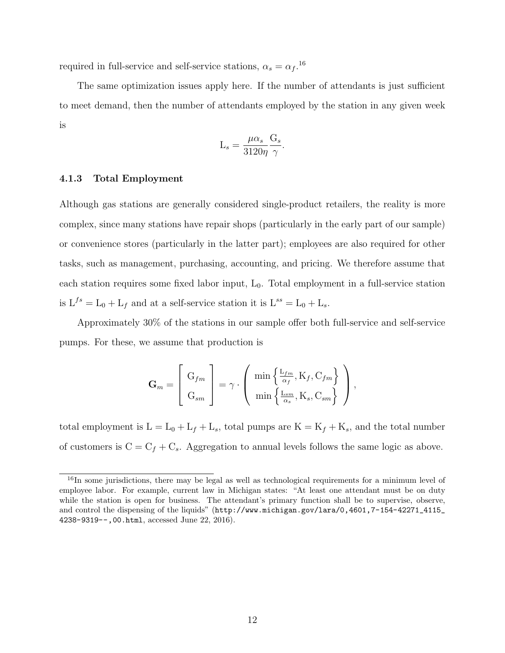required in full-service and self-service stations,  $\alpha_s = \alpha_f$ .<sup>[16](#page-12-0)</sup>

The same optimization issues apply here. If the number of attendants is just sufficient to meet demand, then the number of attendants employed by the station in any given week is

$$
L_s = \frac{\mu \alpha_s}{3120\eta} \frac{G_s}{\gamma}.
$$

#### 4.1.3 Total Employment

Although gas stations are generally considered single-product retailers, the reality is more complex, since many stations have repair shops (particularly in the early part of our sample) or convenience stores (particularly in the latter part); employees are also required for other tasks, such as management, purchasing, accounting, and pricing. We therefore assume that each station requires some fixed labor input,  $L_0$ . Total employment in a full-service station is  $L^{fs} = L_0 + L_f$  and at a self-service station it is  $L^{ss} = L_0 + L_s$ .

Approximately 30% of the stations in our sample offer both full-service and self-service pumps. For these, we assume that production is

$$
\mathbf{G}_m = \begin{bmatrix} G_{fm} \\ G_{sm} \end{bmatrix} = \gamma \cdot \left( \begin{array}{c} \min \left\{ \frac{\mathcal{L}_{fm}}{\alpha_f}, \mathcal{K}_f, \mathcal{C}_{fm} \right\} \\ \min \left\{ \frac{\mathcal{L}_{sm}}{\alpha_s}, \mathcal{K}_s, \mathcal{C}_{sm} \right\} \end{array} \right),
$$

total employment is  $L = L_0 + L_f + L_s$ , total pumps are  $K = K_f + K_s$ , and the total number of customers is  $C = C_f + C_s$ . Aggregation to annual levels follows the same logic as above.

<span id="page-12-0"></span><sup>&</sup>lt;sup>16</sup>In some jurisdictions, there may be legal as well as technological requirements for a minimum level of employee labor. For example, current law in Michigan states: "At least one attendant must be on duty while the station is open for business. The attendant's primary function shall be to supervise, observe, and control the dispensing of the liquids" ([http://www.michigan.gov/lara/0,4601,7-154-42271\\_4115\\_](http://www.michigan.gov/lara/0,4601,7-154-42271_4115_4238-9319--,00 .html) [4238-9319--,00.html](http://www.michigan.gov/lara/0,4601,7-154-42271_4115_4238-9319--,00 .html), accessed June 22, 2016).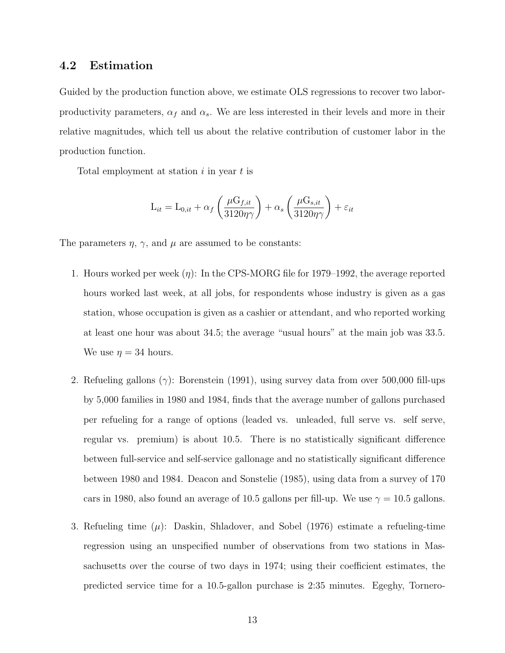### 4.2 Estimation

Guided by the production function above, we estimate OLS regressions to recover two laborproductivity parameters,  $\alpha_f$  and  $\alpha_s$ . We are less interested in their levels and more in their relative magnitudes, which tell us about the relative contribution of customer labor in the production function.

Total employment at station i in year t is

$$
L_{it} = L_{0,it} + \alpha_f \left( \frac{\mu G_{f,it}}{3120\eta\gamma} \right) + \alpha_s \left( \frac{\mu G_{s,it}}{3120\eta\gamma} \right) + \varepsilon_{it}
$$

The parameters  $\eta$ ,  $\gamma$ , and  $\mu$  are assumed to be constants:

- 1. Hours worked per week  $(\eta)$ : In the CPS-MORG file for 1979–1992, the average reported hours worked last week, at all jobs, for respondents whose industry is given as a gas station, whose occupation is given as a cashier or attendant, and who reported working at least one hour was about 34.5; the average "usual hours" at the main job was 33.5. We use  $\eta = 34$  hours.
- 2. Refueling gallons ( $\gamma$ ): [Borenstein](#page-30-9) [\(1991\)](#page-30-9), using survey data from over 500,000 fill-ups by 5,000 families in 1980 and 1984, finds that the average number of gallons purchased per refueling for a range of options (leaded vs. unleaded, full serve vs. self serve, regular vs. premium) is about 10.5. There is no statistically significant difference between full-service and self-service gallonage and no statistically significant difference between 1980 and 1984. [Deacon and Sonstelie](#page-31-5) [\(1985\)](#page-31-5), using data from a survey of 170 cars in 1980, also found an average of 10.5 gallons per fill-up. We use  $\gamma = 10.5$  gallons.
- 3. Refueling time  $(\mu)$ : [Daskin, Shladover, and Sobel](#page-31-6) [\(1976\)](#page-31-6) estimate a refueling-time regression using an unspecified number of observations from two stations in Massachusetts over the course of two days in 1974; using their coefficient estimates, the predicted service time for a 10.5-gallon purchase is 2:35 minutes. [Egeghy, Tornero-](#page-31-7)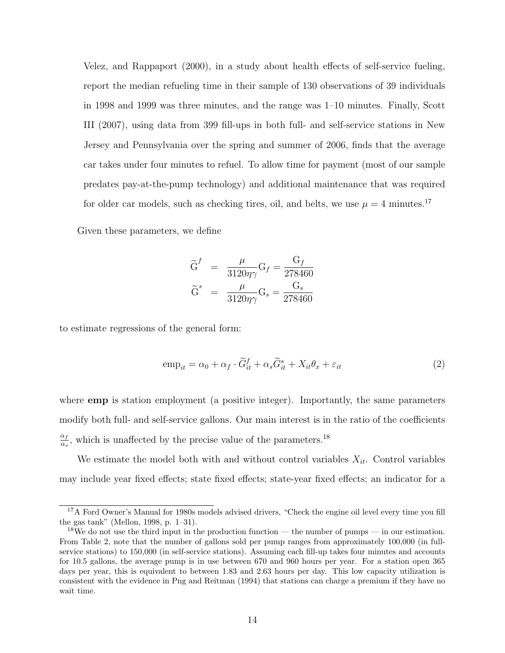[Velez, and Rappaport](#page-31-7) [\(2000\)](#page-31-7), in a study about health effects of self-service fueling, report the median refueling time in their sample of 130 observations of 39 individuals in 1998 and 1999 was three minutes, and the range was 1–10 minutes. Finally, [Scott](#page-32-4) [III](#page-32-4) [\(2007\)](#page-32-4), using data from 399 fill-ups in both full- and self-service stations in New Jersey and Pennsylvania over the spring and summer of 2006, finds that the average car takes under four minutes to refuel. To allow time for payment (most of our sample predates pay-at-the-pump technology) and additional maintenance that was required for older car models, such as checking tires, oil, and belts, we use  $\mu = 4$  minutes.<sup>[17](#page-14-0)</sup>

Given these parameters, we define

$$
\begin{aligned}\n\widetilde{G}^f &= \frac{\mu}{3120\eta\gamma} G_f = \frac{G_f}{278460} \\
\widetilde{G}^s &= \frac{\mu}{3120\eta\gamma} G_s = \frac{G_s}{278460}\n\end{aligned}
$$

to estimate regressions of the general form:

$$
\text{emp}_{it} = \alpha_0 + \alpha_f \cdot \widetilde{G}_{it}^f + \alpha_s \widetilde{G}_{it}^s + X_{it} \theta_x + \varepsilon_{it} \tag{2}
$$

where **emp** is station employment (a positive integer). Importantly, the same parameters modify both full- and self-service gallons. Our main interest is in the ratio of the coefficients  $\alpha_f$  $\frac{\alpha_f}{\alpha_s}$ , which is unaffected by the precise value of the parameters.<sup>[18](#page-14-1)</sup>

We estimate the model both with and without control variables  $X_{it}$ . Control variables may include year fixed effects; state fixed effects; state-year fixed effects; an indicator for a

<span id="page-14-0"></span><sup>&</sup>lt;sup>17</sup>A Ford Owner's Manual for 1980s models advised drivers, "Check the engine oil level every time you fill the gas tank" [\(Mellon,](#page-32-5) [1998,](#page-32-5) p. 1–31).

<span id="page-14-1"></span><sup>&</sup>lt;sup>18</sup>We do not use the third input in the production function — the number of pumps — in our estimation. From Table [2,](#page-37-1) note that the number of gallons sold per pump ranges from approximately 100,000 (in fullservice stations) to 150,000 (in self-service stations). Assuming each fill-up takes four minutes and accounts for 10.5 gallons, the average pump is in use between 670 and 960 hours per year. For a station open 365 days per year, this is equivalent to between 1.83 and 2.63 hours per day. This low capacity utilization is consistent with the evidence in [Png and Reitman](#page-32-6) [\(1994\)](#page-32-6) that stations can charge a premium if they have no wait time.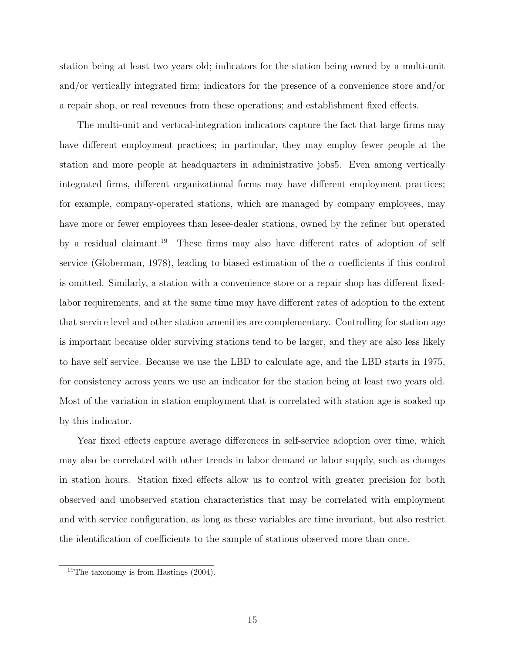station being at least two years old; indicators for the station being owned by a multi-unit and/or vertically integrated firm; indicators for the presence of a convenience store and/or a repair shop, or real revenues from these operations; and establishment fixed effects.

The multi-unit and vertical-integration indicators capture the fact that large firms may have different employment practices; in particular, they may employ fewer people at the station and more people at headquarters in administrative jobs5. Even among vertically integrated firms, different organizational forms may have different employment practices; for example, company-operated stations, which are managed by company employees, may have more or fewer employees than lesee-dealer stations, owned by the refiner but operated by a residual claimant.[19](#page-15-0) These firms may also have different rates of adoption of self service [\(Globerman,](#page-31-4) [1978\)](#page-31-4), leading to biased estimation of the  $\alpha$  coefficients if this control is omitted. Similarly, a station with a convenience store or a repair shop has different fixedlabor requirements, and at the same time may have different rates of adoption to the extent that service level and other station amenities are complementary. Controlling for station age is important because older surviving stations tend to be larger, and they are also less likely to have self service. Because we use the LBD to calculate age, and the LBD starts in 1975, for consistency across years we use an indicator for the station being at least two years old. Most of the variation in station employment that is correlated with station age is soaked up by this indicator.

Year fixed effects capture average differences in self-service adoption over time, which may also be correlated with other trends in labor demand or labor supply, such as changes in station hours. Station fixed effects allow us to control with greater precision for both observed and unobserved station characteristics that may be correlated with employment and with service configuration, as long as these variables are time invariant, but also restrict the identification of coefficients to the sample of stations observed more than once.

<span id="page-15-0"></span><sup>19</sup>The taxonomy is from [Hastings](#page-31-8) [\(2004\)](#page-31-8).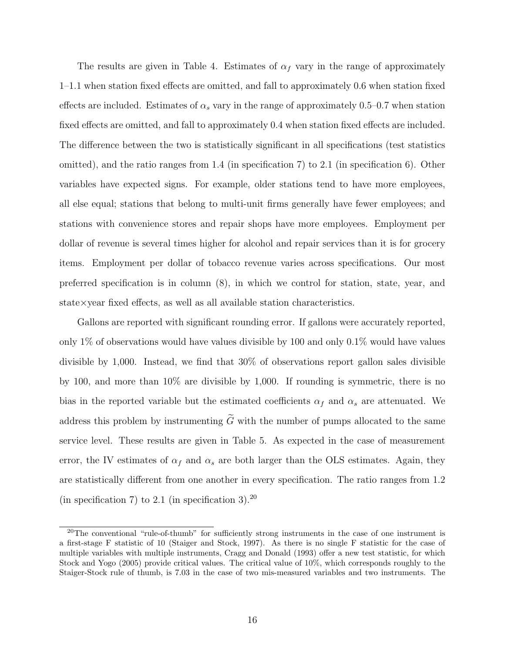The results are given in Table [4.](#page-39-0) Estimates of  $\alpha_f$  vary in the range of approximately 1–1.1 when station fixed effects are omitted, and fall to approximately 0.6 when station fixed effects are included. Estimates of  $\alpha_s$  vary in the range of approximately 0.5–0.7 when station fixed effects are omitted, and fall to approximately 0.4 when station fixed effects are included. The difference between the two is statistically significant in all specifications (test statistics omitted), and the ratio ranges from 1.4 (in specification 7) to 2.1 (in specification 6). Other variables have expected signs. For example, older stations tend to have more employees, all else equal; stations that belong to multi-unit firms generally have fewer employees; and stations with convenience stores and repair shops have more employees. Employment per dollar of revenue is several times higher for alcohol and repair services than it is for grocery items. Employment per dollar of tobacco revenue varies across specifications. Our most preferred specification is in column (8), in which we control for station, state, year, and state×year fixed effects, as well as all available station characteristics.

Gallons are reported with significant rounding error. If gallons were accurately reported, only 1% of observations would have values divisible by 100 and only 0.1% would have values divisible by 1,000. Instead, we find that 30% of observations report gallon sales divisible by 100, and more than 10% are divisible by 1,000. If rounding is symmetric, there is no bias in the reported variable but the estimated coefficients  $\alpha_f$  and  $\alpha_s$  are attenuated. We address this problem by instrumenting  $\tilde{G}$  with the number of pumps allocated to the same service level. These results are given in Table [5.](#page-40-0) As expected in the case of measurement error, the IV estimates of  $\alpha_f$  and  $\alpha_s$  are both larger than the OLS estimates. Again, they are statistically different from one another in every specification. The ratio ranges from 1.2 (in specification 7) to 2.1 (in specification 3).<sup>[20](#page-16-0)</sup>

<span id="page-16-0"></span><sup>&</sup>lt;sup>20</sup>The conventional "rule-of-thumb" for sufficiently strong instruments in the case of one instrument is a first-stage F statistic of 10 [\(Staiger and Stock,](#page-32-7) [1997\)](#page-32-7). As there is no single F statistic for the case of multiple variables with multiple instruments, [Cragg and Donald](#page-31-9) [\(1993\)](#page-31-9) offer a new test statistic, for which [Stock and Yogo](#page-32-8) [\(2005\)](#page-32-8) provide critical values. The critical value of 10%, which corresponds roughly to the Staiger-Stock rule of thumb, is 7.03 in the case of two mis-measured variables and two instruments. The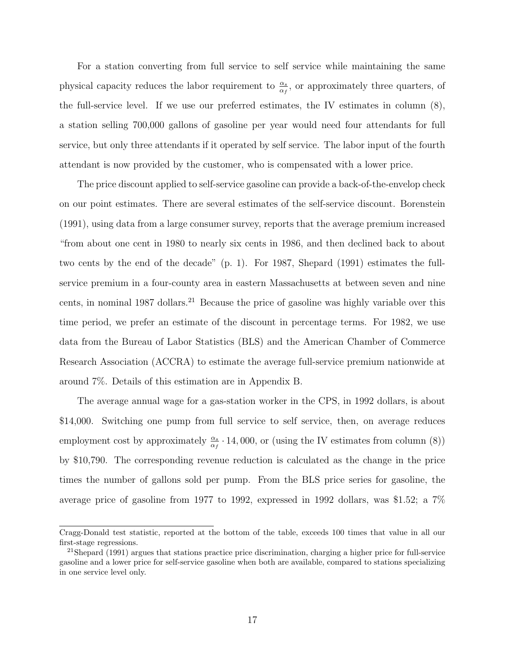For a station converting from full service to self service while maintaining the same physical capacity reduces the labor requirement to  $\frac{\alpha_s}{\alpha_f}$ , or approximately three quarters, of the full-service level. If we use our preferred estimates, the IV estimates in column (8), a station selling 700,000 gallons of gasoline per year would need four attendants for full service, but only three attendants if it operated by self service. The labor input of the fourth attendant is now provided by the customer, who is compensated with a lower price.

The price discount applied to self-service gasoline can provide a back-of-the-envelop check on our point estimates. There are several estimates of the self-service discount. [Borenstein](#page-30-9) [\(1991\)](#page-30-9), using data from a large consumer survey, reports that the average premium increased "from about one cent in 1980 to nearly six cents in 1986, and then declined back to about two cents by the end of the decade" (p. 1). For 1987, [Shepard](#page-32-9) [\(1991\)](#page-32-9) estimates the fullservice premium in a four-county area in eastern Massachusetts at between seven and nine cents, in nominal 1987 dollars.<sup>[21](#page-17-0)</sup> Because the price of gasoline was highly variable over this time period, we prefer an estimate of the discount in percentage terms. For 1982, we use data from the Bureau of Labor Statistics (BLS) and the American Chamber of Commerce Research Association (ACCRA) to estimate the average full-service premium nationwide at around 7%. Details of this estimation are in Appendix [B.](#page-28-0)

The average annual wage for a gas-station worker in the CPS, in 1992 dollars, is about \$14,000. Switching one pump from full service to self service, then, on average reduces employment cost by approximately  $\frac{\alpha_s}{\alpha_f}$  · 14, 000, or (using the IV estimates from column (8)) by \$10,790. The corresponding revenue reduction is calculated as the change in the price times the number of gallons sold per pump. From the BLS price series for gasoline, the average price of gasoline from 1977 to 1992, expressed in 1992 dollars, was \$1.52; a 7%

Cragg-Donald test statistic, reported at the bottom of the table, exceeds 100 times that value in all our first-stage regressions.

<span id="page-17-0"></span><sup>&</sup>lt;sup>21</sup>Shepard (1991) argues that stations practice price discrimination, charging a higher price for full-service gasoline and a lower price for self-service gasoline when both are available, compared to stations specializing in one service level only.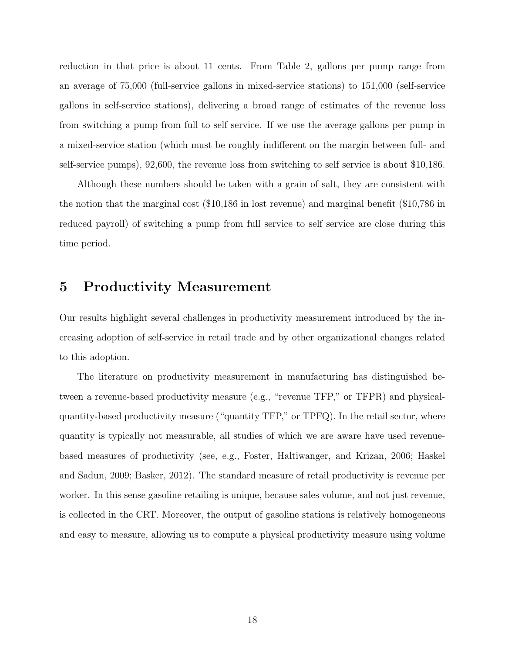reduction in that price is about 11 cents. From Table [2,](#page-37-1) gallons per pump range from an average of 75,000 (full-service gallons in mixed-service stations) to 151,000 (self-service gallons in self-service stations), delivering a broad range of estimates of the revenue loss from switching a pump from full to self service. If we use the average gallons per pump in a mixed-service station (which must be roughly indifferent on the margin between full- and self-service pumps), 92,600, the revenue loss from switching to self service is about \$10,186.

Although these numbers should be taken with a grain of salt, they are consistent with the notion that the marginal cost (\$10,186 in lost revenue) and marginal benefit (\$10,786 in reduced payroll) of switching a pump from full service to self service are close during this time period.

# <span id="page-18-0"></span>5 Productivity Measurement

Our results highlight several challenges in productivity measurement introduced by the increasing adoption of self-service in retail trade and by other organizational changes related to this adoption.

The literature on productivity measurement in manufacturing has distinguished between a revenue-based productivity measure (e.g., "revenue TFP," or TFPR) and physicalquantity-based productivity measure ("quantity TFP," or TPFQ). In the retail sector, where quantity is typically not measurable, all studies of which we are aware have used revenuebased measures of productivity (see, e.g., [Foster, Haltiwanger, and Krizan,](#page-31-10) [2006;](#page-31-10) [Haskel](#page-31-11) [and Sadun,](#page-31-11) [2009;](#page-31-11) [Basker,](#page-30-10) [2012\)](#page-30-10). The standard measure of retail productivity is revenue per worker. In this sense gasoline retailing is unique, because sales volume, and not just revenue, is collected in the CRT. Moreover, the output of gasoline stations is relatively homogeneous and easy to measure, allowing us to compute a physical productivity measure using volume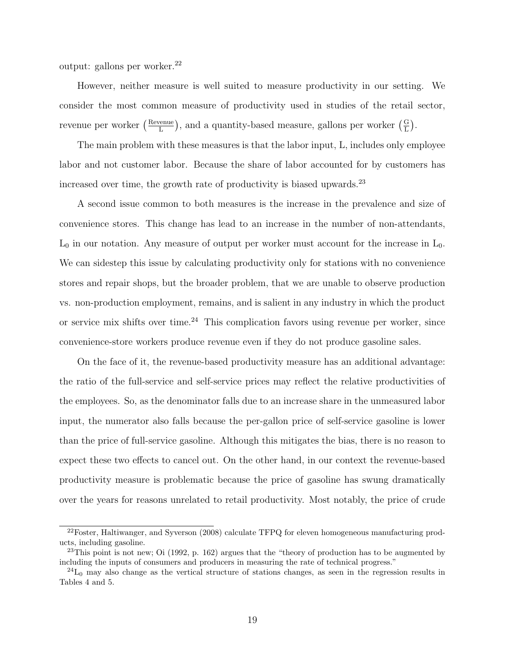output: gallons per worker. $^{22}$  $^{22}$  $^{22}$ 

However, neither measure is well suited to measure productivity in our setting. We consider the most common measure of productivity used in studies of the retail sector, revenue per worker (Elevenue  $\frac{\text{penu}}{\text{L}}$ , and a quantity-based measure, gallons per worker  $(\frac{\text{G}}{\text{L}})$ .

The main problem with these measures is that the labor input, L, includes only employee labor and not customer labor. Because the share of labor accounted for by customers has increased over time, the growth rate of productivity is biased upwards.[23](#page-19-1)

A second issue common to both measures is the increase in the prevalence and size of convenience stores. This change has lead to an increase in the number of non-attendants,  $L_0$  in our notation. Any measure of output per worker must account for the increase in  $L_0$ . We can sidestep this issue by calculating productivity only for stations with no convenience stores and repair shops, but the broader problem, that we are unable to observe production vs. non-production employment, remains, and is salient in any industry in which the product or service mix shifts over time.<sup>[24](#page-19-2)</sup> This complication favors using revenue per worker, since convenience-store workers produce revenue even if they do not produce gasoline sales.

On the face of it, the revenue-based productivity measure has an additional advantage: the ratio of the full-service and self-service prices may reflect the relative productivities of the employees. So, as the denominator falls due to an increase share in the unmeasured labor input, the numerator also falls because the per-gallon price of self-service gasoline is lower than the price of full-service gasoline. Although this mitigates the bias, there is no reason to expect these two effects to cancel out. On the other hand, in our context the revenue-based productivity measure is problematic because the price of gasoline has swung dramatically over the years for reasons unrelated to retail productivity. Most notably, the price of crude

<span id="page-19-0"></span> $^{22}$ [Foster, Haltiwanger, and Syverson](#page-31-12) [\(2008\)](#page-31-12) calculate TFPQ for eleven homogeneous manufacturing products, including gasoline.

<span id="page-19-1"></span><sup>&</sup>lt;sup>23</sup>This point is not new; [Oi](#page-32-3) [\(1992,](#page-32-3) p. 162) argues that the "theory of production has to be augmented by including the inputs of consumers and producers in measuring the rate of technical progress."

<span id="page-19-2"></span> $^{24}L_0$  may also change as the vertical structure of stations changes, as seen in the regression results in Tables [4](#page-39-0) and [5.](#page-40-0)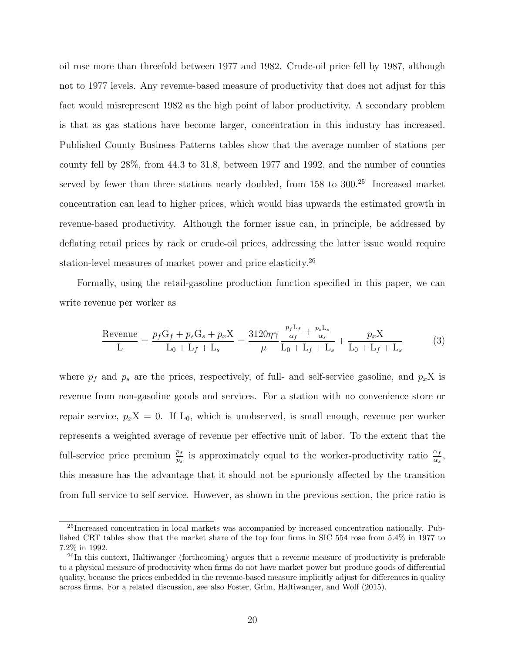oil rose more than threefold between 1977 and 1982. Crude-oil price fell by 1987, although not to 1977 levels. Any revenue-based measure of productivity that does not adjust for this fact would misrepresent 1982 as the high point of labor productivity. A secondary problem is that as gas stations have become larger, concentration in this industry has increased. Published County Business Patterns tables show that the average number of stations per county fell by 28%, from 44.3 to 31.8, between 1977 and 1992, and the number of counties served by fewer than three stations nearly doubled, from 158 to 300.<sup>[25](#page-20-0)</sup> Increased market concentration can lead to higher prices, which would bias upwards the estimated growth in revenue-based productivity. Although the former issue can, in principle, be addressed by deflating retail prices by rack or crude-oil prices, addressing the latter issue would require station-level measures of market power and price elasticity.<sup>[26](#page-20-1)</sup>

Formally, using the retail-gasoline production function specified in this paper, we can write revenue per worker as

$$
\frac{\text{Revenue}}{\text{L}} = \frac{p_f G_f + p_s G_s + p_x X}{\text{L}_0 + \text{L}_f + \text{L}_s} = \frac{3120\eta \gamma}{\mu} \frac{\frac{p_f \text{L}_f}{\alpha_f} + \frac{p_s \text{L}_s}{\alpha_s}}{\text{L}_0 + \text{L}_f + \text{L}_s} + \frac{p_x X}{\text{L}_0 + \text{L}_f + \text{L}_s}
$$
(3)

where  $p_f$  and  $p_s$  are the prices, respectively, of full- and self-service gasoline, and  $p_xX$  is revenue from non-gasoline goods and services. For a station with no convenience store or repair service,  $p_xX = 0$ . If  $L_0$ , which is unobserved, is small enough, revenue per worker represents a weighted average of revenue per effective unit of labor. To the extent that the full-service price premium  $\frac{p_f}{p_s}$  is approximately equal to the worker-productivity ratio  $\frac{\alpha_f}{\alpha_s}$ , this measure has the advantage that it should not be spuriously affected by the transition from full service to self service. However, as shown in the previous section, the price ratio is

<span id="page-20-0"></span> $^{25}$ Increased concentration in local markets was accompanied by increased concentration nationally. Published CRT tables show that the market share of the top four firms in SIC 554 rose from 5.4% in 1977 to 7.2% in 1992.

<span id="page-20-1"></span><sup>&</sup>lt;sup>26</sup>In this context, [Haltiwanger](#page-31-13) [\(forthcoming\)](#page-31-13) argues that a revenue measure of productivity is preferable to a physical measure of productivity when firms do not have market power but produce goods of differential quality, because the prices embedded in the revenue-based measure implicitly adjust for differences in quality across firms. For a related discussion, see also [Foster, Grim, Haltiwanger, and Wolf](#page-31-14) [\(2015\)](#page-31-14).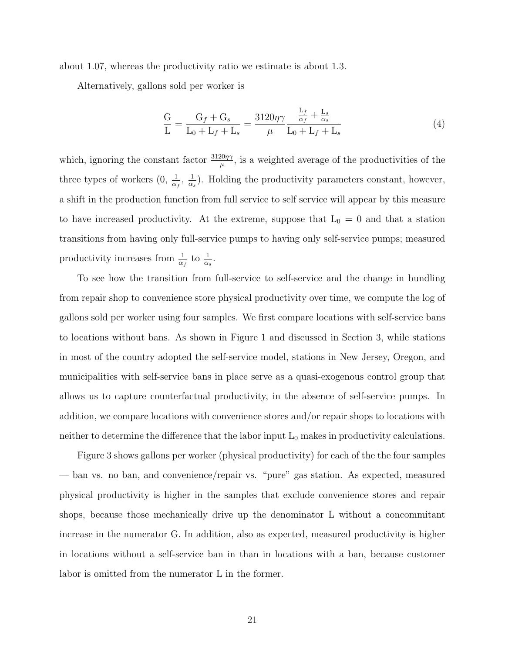about 1.07, whereas the productivity ratio we estimate is about 1.3.

Alternatively, gallons sold per worker is

$$
\frac{G}{L} = \frac{G_f + G_s}{L_0 + L_f + L_s} = \frac{3120\eta\gamma}{\mu} \frac{\frac{L_f}{\alpha_f} + \frac{L_s}{\alpha_s}}{L_0 + L_f + L_s}
$$
(4)

which, ignoring the constant factor  $\frac{3120\eta\gamma}{\mu}$ , is a weighted average of the productivities of the three types of workers  $(0, \frac{1}{\alpha_f}, \frac{1}{\alpha_i})$  $\frac{1}{\alpha_s}$ ). Holding the productivity parameters constant, however, a shift in the production function from full service to self service will appear by this measure to have increased productivity. At the extreme, suppose that  $L_0 = 0$  and that a station transitions from having only full-service pumps to having only self-service pumps; measured productivity increases from  $\frac{1}{\alpha_f}$  to  $\frac{1}{\alpha_s}$ .

To see how the transition from full-service to self-service and the change in bundling from repair shop to convenience store physical productivity over time, we compute the log of gallons sold per worker using four samples. We first compare locations with self-service bans to locations without bans. As shown in Figure [1](#page-34-0) and discussed in Section [3,](#page-5-0) while stations in most of the country adopted the self-service model, stations in New Jersey, Oregon, and municipalities with self-service bans in place serve as a quasi-exogenous control group that allows us to capture counterfactual productivity, in the absence of self-service pumps. In addition, we compare locations with convenience stores and/or repair shops to locations with neither to determine the difference that the labor input  $L_0$  makes in productivity calculations.

Figure [3](#page-35-0) shows gallons per worker (physical productivity) for each of the the four samples — ban vs. no ban, and convenience/repair vs. "pure" gas station. As expected, measured physical productivity is higher in the samples that exclude convenience stores and repair shops, because those mechanically drive up the denominator L without a concommitant increase in the numerator G. In addition, also as expected, measured productivity is higher in locations without a self-service ban in than in locations with a ban, because customer labor is omitted from the numerator L in the former.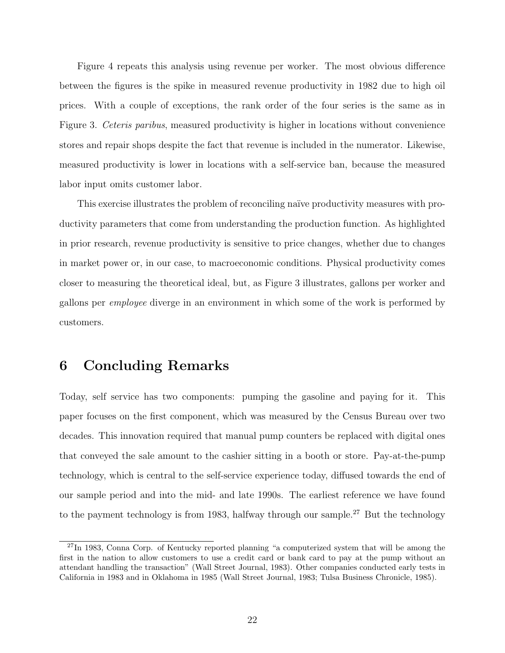Figure [4](#page-35-1) repeats this analysis using revenue per worker. The most obvious difference between the figures is the spike in measured revenue productivity in 1982 due to high oil prices. With a couple of exceptions, the rank order of the four series is the same as in Figure [3.](#page-35-0) Ceteris paribus, measured productivity is higher in locations without convenience stores and repair shops despite the fact that revenue is included in the numerator. Likewise, measured productivity is lower in locations with a self-service ban, because the measured labor input omits customer labor.

This exercise illustrates the problem of reconciling naïve productivity measures with productivity parameters that come from understanding the production function. As highlighted in prior research, revenue productivity is sensitive to price changes, whether due to changes in market power or, in our case, to macroeconomic conditions. Physical productivity comes closer to measuring the theoretical ideal, but, as Figure [3](#page-35-0) illustrates, gallons per worker and gallons per employee diverge in an environment in which some of the work is performed by customers.

## <span id="page-22-0"></span>6 Concluding Remarks

Today, self service has two components: pumping the gasoline and paying for it. This paper focuses on the first component, which was measured by the Census Bureau over two decades. This innovation required that manual pump counters be replaced with digital ones that conveyed the sale amount to the cashier sitting in a booth or store. Pay-at-the-pump technology, which is central to the self-service experience today, diffused towards the end of our sample period and into the mid- and late 1990s. The earliest reference we have found to the payment technology is from 1983, halfway through our sample.<sup>[27](#page-22-1)</sup> But the technology

<span id="page-22-1"></span><sup>&</sup>lt;sup>27</sup>In 1983, Conna Corp. of Kentucky reported planning "a computerized system that will be among the first in the nation to allow customers to use a credit card or bank card to pay at the pump without an attendant handling the transaction" [\(Wall Street Journal,](#page-33-1) [1983\)](#page-33-1). Other companies conducted early tests in California in 1983 and in Oklahoma in 1985 [\(Wall Street Journal,](#page-33-2) [1983;](#page-33-2) [Tulsa Business Chronicle,](#page-33-3) [1985\)](#page-33-3).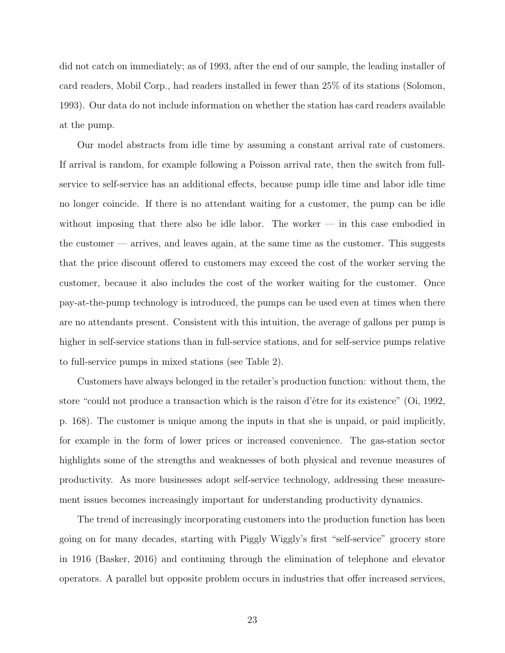did not catch on immediately; as of 1993, after the end of our sample, the leading installer of card readers, Mobil Corp., had readers installed in fewer than 25% of its stations [\(Solomon,](#page-32-10) [1993\)](#page-32-10). Our data do not include information on whether the station has card readers available at the pump.

Our model abstracts from idle time by assuming a constant arrival rate of customers. If arrival is random, for example following a Poisson arrival rate, then the switch from fullservice to self-service has an additional effects, because pump idle time and labor idle time no longer coincide. If there is no attendant waiting for a customer, the pump can be idle without imposing that there also be idle labor. The worker — in this case embodied in the customer — arrives, and leaves again, at the same time as the customer. This suggests that the price discount offered to customers may exceed the cost of the worker serving the customer, because it also includes the cost of the worker waiting for the customer. Once pay-at-the-pump technology is introduced, the pumps can be used even at times when there are no attendants present. Consistent with this intuition, the average of gallons per pump is higher in self-service stations than in full-service stations, and for self-service pumps relative to full-service pumps in mixed stations (see Table [2\)](#page-37-1).

Customers have always belonged in the retailer's production function: without them, the store "could not produce a transaction which is the raison d'être for its existence" [\(Oi,](#page-32-3) [1992,](#page-32-3) p. 168). The customer is unique among the inputs in that she is unpaid, or paid implicitly, for example in the form of lower prices or increased convenience. The gas-station sector highlights some of the strengths and weaknesses of both physical and revenue measures of productivity. As more businesses adopt self-service technology, addressing these measurement issues becomes increasingly important for understanding productivity dynamics.

The trend of increasingly incorporating customers into the production function has been going on for many decades, starting with Piggly Wiggly's first "self-service" grocery store in 1916 [\(Basker,](#page-30-11) [2016\)](#page-30-11) and continuing through the elimination of telephone and elevator operators. A parallel but opposite problem occurs in industries that offer increased services,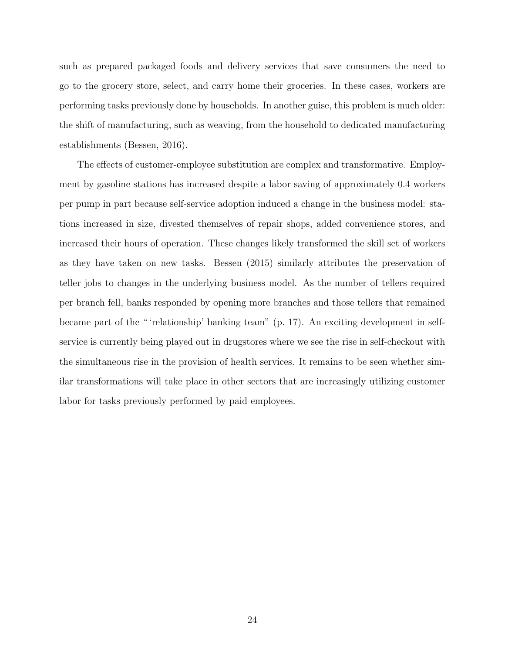such as prepared packaged foods and delivery services that save consumers the need to go to the grocery store, select, and carry home their groceries. In these cases, workers are performing tasks previously done by households. In another guise, this problem is much older: the shift of manufacturing, such as weaving, from the household to dedicated manufacturing establishments [\(Bessen,](#page-30-12) [2016\)](#page-30-12).

The effects of customer-employee substitution are complex and transformative. Employment by gasoline stations has increased despite a labor saving of approximately 0.4 workers per pump in part because self-service adoption induced a change in the business model: stations increased in size, divested themselves of repair shops, added convenience stores, and increased their hours of operation. These changes likely transformed the skill set of workers as they have taken on new tasks. [Bessen](#page-30-13) [\(2015\)](#page-30-13) similarly attributes the preservation of teller jobs to changes in the underlying business model. As the number of tellers required per branch fell, banks responded by opening more branches and those tellers that remained became part of the " 'relationship' banking team" (p. 17). An exciting development in selfservice is currently being played out in drugstores where we see the rise in self-checkout with the simultaneous rise in the provision of health services. It remains to be seen whether similar transformations will take place in other sectors that are increasingly utilizing customer labor for tasks previously performed by paid employees.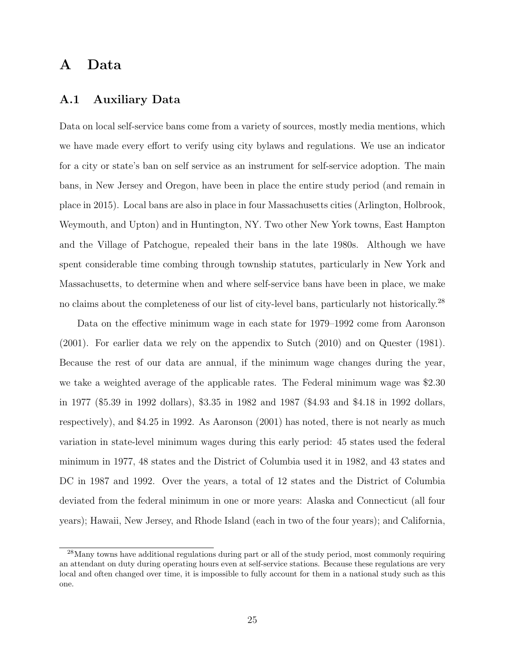# <span id="page-25-1"></span>A Data

### <span id="page-25-0"></span>A.1 Auxiliary Data

Data on local self-service bans come from a variety of sources, mostly media mentions, which we have made every effort to verify using city bylaws and regulations. We use an indicator for a city or state's ban on self service as an instrument for self-service adoption. The main bans, in New Jersey and Oregon, have been in place the entire study period (and remain in place in 2015). Local bans are also in place in four Massachusetts cities (Arlington, Holbrook, Weymouth, and Upton) and in Huntington, NY. Two other New York towns, East Hampton and the Village of Patchogue, repealed their bans in the late 1980s. Although we have spent considerable time combing through township statutes, particularly in New York and Massachusetts, to determine when and where self-service bans have been in place, we make no claims about the completeness of our list of city-level bans, particularly not historically.<sup>[28](#page-25-2)</sup>

Data on the effective minimum wage in each state for 1979–1992 come from [Aaronson](#page-30-14) [\(2001\)](#page-30-14). For earlier data we rely on the appendix to [Sutch](#page-32-11) [\(2010\)](#page-32-11) and on [Quester](#page-32-12) [\(1981\)](#page-32-12). Because the rest of our data are annual, if the minimum wage changes during the year, we take a weighted average of the applicable rates. The Federal minimum wage was \$2.30 in 1977 (\$5.39 in 1992 dollars), \$3.35 in 1982 and 1987 (\$4.93 and \$4.18 in 1992 dollars, respectively), and \$4.25 in 1992. As [Aaronson](#page-30-14) [\(2001\)](#page-30-14) has noted, there is not nearly as much variation in state-level minimum wages during this early period: 45 states used the federal minimum in 1977, 48 states and the District of Columbia used it in 1982, and 43 states and DC in 1987 and 1992. Over the years, a total of 12 states and the District of Columbia deviated from the federal minimum in one or more years: Alaska and Connecticut (all four years); Hawaii, New Jersey, and Rhode Island (each in two of the four years); and California,

<span id="page-25-2"></span><sup>&</sup>lt;sup>28</sup>Many towns have additional regulations during part or all of the study period, most commonly requiring an attendant on duty during operating hours even at self-service stations. Because these regulations are very local and often changed over time, it is impossible to fully account for them in a national study such as this one.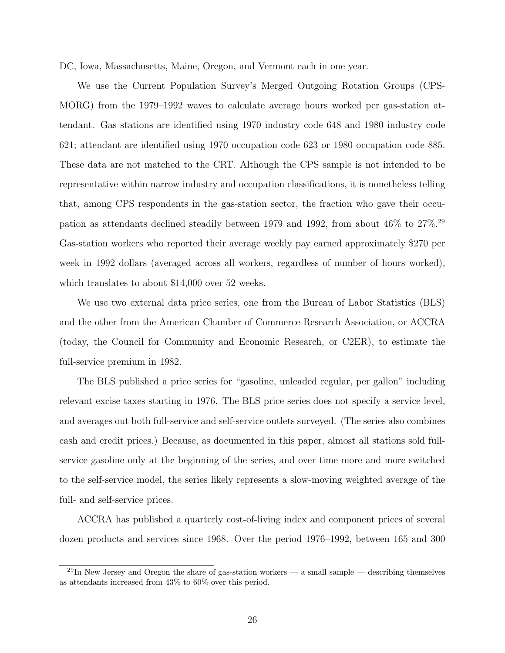DC, Iowa, Massachusetts, Maine, Oregon, and Vermont each in one year.

We use the Current Population Survey's Merged Outgoing Rotation Groups (CPS-MORG) from the 1979–1992 waves to calculate average hours worked per gas-station attendant. Gas stations are identified using 1970 industry code 648 and 1980 industry code 621; attendant are identified using 1970 occupation code 623 or 1980 occupation code 885. These data are not matched to the CRT. Although the CPS sample is not intended to be representative within narrow industry and occupation classifications, it is nonetheless telling that, among CPS respondents in the gas-station sector, the fraction who gave their occupation as attendants declined steadily between 1979 and 1992, from about 46% to 27%.[29](#page-26-0) Gas-station workers who reported their average weekly pay earned approximately \$270 per week in 1992 dollars (averaged across all workers, regardless of number of hours worked), which translates to about \$14,000 over 52 weeks.

We use two external data price series, one from the Bureau of Labor Statistics (BLS) and the other from the American Chamber of Commerce Research Association, or ACCRA (today, the Council for Community and Economic Research, or C2ER), to estimate the full-service premium in 1982.

The BLS published a price series for "gasoline, unleaded regular, per gallon" including relevant excise taxes starting in 1976. The BLS price series does not specify a service level, and averages out both full-service and self-service outlets surveyed. (The series also combines cash and credit prices.) Because, as documented in this paper, almost all stations sold fullservice gasoline only at the beginning of the series, and over time more and more switched to the self-service model, the series likely represents a slow-moving weighted average of the full- and self-service prices.

ACCRA has published a quarterly cost-of-living index and component prices of several dozen products and services since 1968. Over the period 1976–1992, between 165 and 300

<span id="page-26-0"></span> $^{29}$ In New Jersey and Oregon the share of gas-station workers — a small sample — describing themselves as attendants increased from 43% to 60% over this period.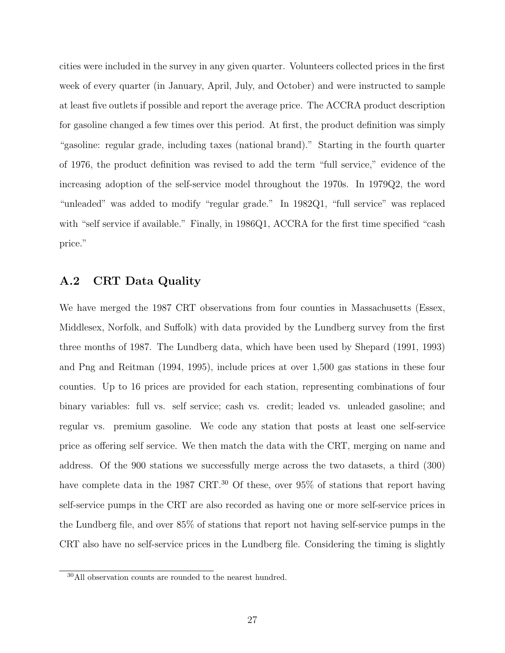cities were included in the survey in any given quarter. Volunteers collected prices in the first week of every quarter (in January, April, July, and October) and were instructed to sample at least five outlets if possible and report the average price. The ACCRA product description for gasoline changed a few times over this period. At first, the product definition was simply "gasoline: regular grade, including taxes (national brand)." Starting in the fourth quarter of 1976, the product definition was revised to add the term "full service," evidence of the increasing adoption of the self-service model throughout the 1970s. In 1979Q2, the word "unleaded" was added to modify "regular grade." In 1982Q1, "full service" was replaced with "self service if available." Finally, in 1986Q1, ACCRA for the first time specified "cash" price."

### <span id="page-27-0"></span>A.2 CRT Data Quality

We have merged the 1987 CRT observations from four counties in Massachusetts (Essex, Middlesex, Norfolk, and Suffolk) with data provided by the Lundberg survey from the first three months of 1987. The Lundberg data, which have been used by [Shepard](#page-32-9) [\(1991,](#page-32-9) [1993\)](#page-32-13) and [Png and Reitman](#page-32-6) [\(1994,](#page-32-6) [1995\)](#page-32-14), include prices at over 1,500 gas stations in these four counties. Up to 16 prices are provided for each station, representing combinations of four binary variables: full vs. self service; cash vs. credit; leaded vs. unleaded gasoline; and regular vs. premium gasoline. We code any station that posts at least one self-service price as offering self service. We then match the data with the CRT, merging on name and address. Of the 900 stations we successfully merge across the two datasets, a third (300) have complete data in the 1987 CRT.<sup>[30](#page-27-1)</sup> Of these, over 95% of stations that report having self-service pumps in the CRT are also recorded as having one or more self-service prices in the Lundberg file, and over 85% of stations that report not having self-service pumps in the CRT also have no self-service prices in the Lundberg file. Considering the timing is slightly

<span id="page-27-1"></span><sup>30</sup>All observation counts are rounded to the nearest hundred.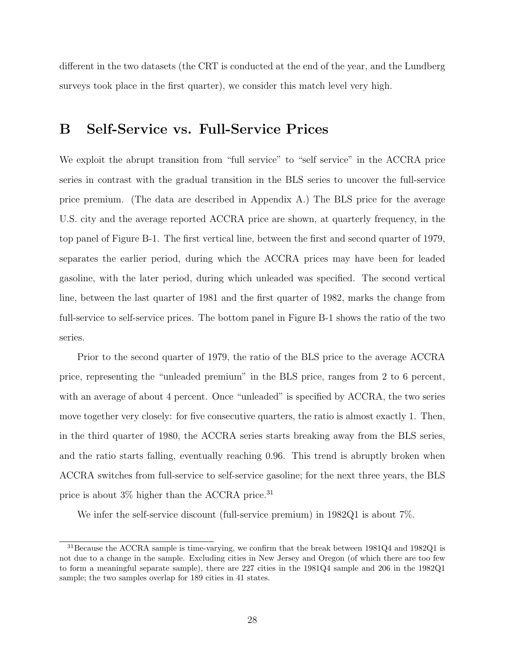different in the two datasets (the CRT is conducted at the end of the year, and the Lundberg surveys took place in the first quarter), we consider this match level very high.

# <span id="page-28-0"></span>B Self-Service vs. Full-Service Prices

We exploit the abrupt transition from "full service" to "self service" in the ACCRA price series in contrast with the gradual transition in the BLS series to uncover the full-service price premium. (The data are described in Appendix [A.](#page-25-1)) The BLS price for the average U.S. city and the average reported ACCRA price are shown, at quarterly frequency, in the top panel of Figure [B-1.](#page-36-0) The first vertical line, between the first and second quarter of 1979, separates the earlier period, during which the ACCRA prices may have been for leaded gasoline, with the later period, during which unleaded was specified. The second vertical line, between the last quarter of 1981 and the first quarter of 1982, marks the change from full-service to self-service prices. The bottom panel in Figure [B-1](#page-36-0) shows the ratio of the two series.

Prior to the second quarter of 1979, the ratio of the BLS price to the average ACCRA price, representing the "unleaded premium" in the BLS price, ranges from 2 to 6 percent, with an average of about 4 percent. Once "unleaded" is specified by ACCRA, the two series move together very closely: for five consecutive quarters, the ratio is almost exactly 1. Then, in the third quarter of 1980, the ACCRA series starts breaking away from the BLS series, and the ratio starts falling, eventually reaching 0.96. This trend is abruptly broken when ACCRA switches from full-service to self-service gasoline; for the next three years, the BLS price is about  $3\%$  higher than the ACCRA price.<sup>[31](#page-28-1)</sup>

We infer the self-service discount (full-service premium) in 1982Q1 is about 7%.

<span id="page-28-1"></span><sup>31</sup>Because the ACCRA sample is time-varying, we confirm that the break between 1981Q4 and 1982Q1 is not due to a change in the sample. Excluding cities in New Jersey and Oregon (of which there are too few to form a meaningful separate sample), there are 227 cities in the 1981Q4 sample and 206 in the 1982Q1 sample; the two samples overlap for 189 cities in 41 states.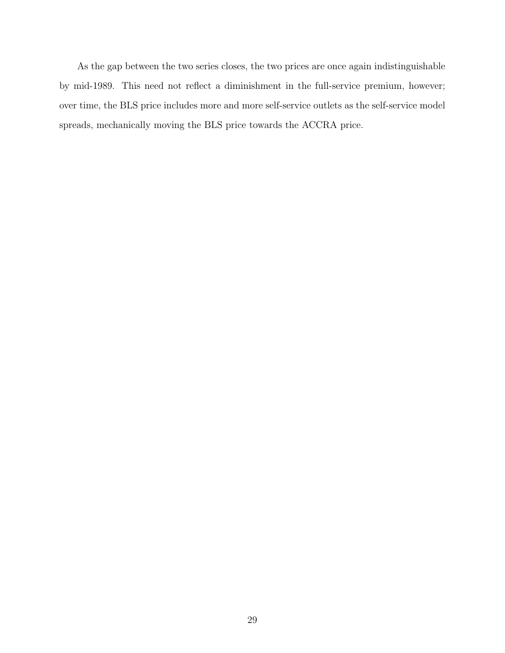As the gap between the two series closes, the two prices are once again indistinguishable by mid-1989. This need not reflect a diminishment in the full-service premium, however; over time, the BLS price includes more and more self-service outlets as the self-service model spreads, mechanically moving the BLS price towards the ACCRA price.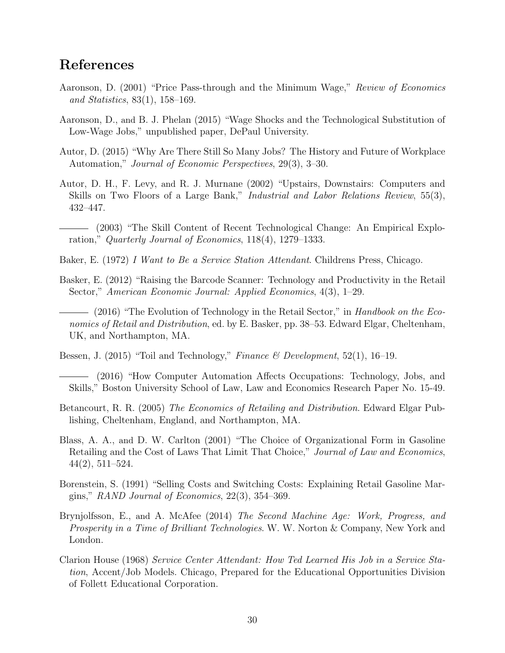# References

- <span id="page-30-14"></span>Aaronson, D. (2001) "Price Pass-through and the Minimum Wage," Review of Economics and Statistics, 83(1), 158–169.
- <span id="page-30-6"></span>Aaronson, D., and B. J. Phelan (2015) "Wage Shocks and the Technological Substitution of Low-Wage Jobs," unpublished paper, DePaul University.
- <span id="page-30-0"></span>Autor, D. (2015) "Why Are There Still So Many Jobs? The History and Future of Workplace Automation," Journal of Economic Perspectives, 29(3), 3–30.
- <span id="page-30-2"></span>Autor, D. H., F. Levy, and R. J. Murnane (2002) "Upstairs, Downstairs: Computers and Skills on Two Floors of a Large Bank," *Industrial and Labor Relations Review*, 55(3), 432–447.
- <span id="page-30-3"></span>(2003) "The Skill Content of Recent Technological Change: An Empirical Exploration," Quarterly Journal of Economics, 118(4), 1279–1333.
- <span id="page-30-7"></span>Baker, E. (1972) I Want to Be a Service Station Attendant. Childrens Press, Chicago.
- <span id="page-30-10"></span>Basker, E. (2012) "Raising the Barcode Scanner: Technology and Productivity in the Retail Sector," American Economic Journal: Applied Economics, 4(3), 1–29.
- <span id="page-30-11"></span>- (2016) "The Evolution of Technology in the Retail Sector," in Handbook on the Economics of Retail and Distribution, ed. by E. Basker, pp. 38–53. Edward Elgar, Cheltenham, UK, and Northampton, MA.
- <span id="page-30-13"></span><span id="page-30-12"></span>Bessen, J. (2015) "Toil and Technology," Finance & Development,  $52(1)$ ,  $16-19$ .
- (2016) "How Computer Automation Affects Occupations: Technology, Jobs, and Skills," Boston University School of Law, Law and Economics Research Paper No. 15-49.
- <span id="page-30-1"></span>Betancourt, R. R. (2005) The Economics of Retailing and Distribution. Edward Elgar Publishing, Cheltenham, England, and Northampton, MA.
- <span id="page-30-5"></span>Blass, A. A., and D. W. Carlton (2001) "The Choice of Organizational Form in Gasoline Retailing and the Cost of Laws That Limit That Choice," Journal of Law and Economics, 44(2), 511–524.
- <span id="page-30-9"></span>Borenstein, S. (1991) "Selling Costs and Switching Costs: Explaining Retail Gasoline Margins," RAND Journal of Economics,  $22(3)$ ,  $354-369$ .
- <span id="page-30-4"></span>Brynjolfsson, E., and A. McAfee (2014) The Second Machine Age: Work, Progress, and Prosperity in a Time of Brilliant Technologies. W. W. Norton & Company, New York and London.
- <span id="page-30-8"></span>Clarion House (1968) Service Center Attendant: How Ted Learned His Job in a Service Station, Accent/Job Models. Chicago, Prepared for the Educational Opportunities Division of Follett Educational Corporation.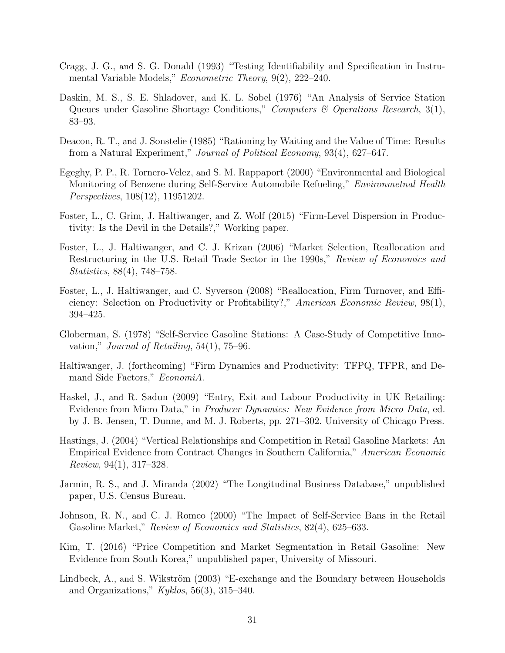- <span id="page-31-9"></span>Cragg, J. G., and S. G. Donald (1993) "Testing Identifiability and Specification in Instrumental Variable Models," Econometric Theory, 9(2), 222–240.
- <span id="page-31-6"></span>Daskin, M. S., S. E. Shladover, and K. L. Sobel (1976) "An Analysis of Service Station Queues under Gasoline Shortage Conditions," Computers & Operations Research, 3(1), 83–93.
- <span id="page-31-5"></span>Deacon, R. T., and J. Sonstelie (1985) "Rationing by Waiting and the Value of Time: Results from a Natural Experiment," Journal of Political Economy, 93(4), 627–647.
- <span id="page-31-7"></span>Egeghy, P. P., R. Tornero-Velez, and S. M. Rappaport (2000) "Environmental and Biological Monitoring of Benzene during Self-Service Automobile Refueling," Environmetnal Health Perspectives, 108(12), 11951202.
- <span id="page-31-14"></span>Foster, L., C. Grim, J. Haltiwanger, and Z. Wolf (2015) "Firm-Level Dispersion in Productivity: Is the Devil in the Details?," Working paper.
- <span id="page-31-10"></span>Foster, L., J. Haltiwanger, and C. J. Krizan (2006) "Market Selection, Reallocation and Restructuring in the U.S. Retail Trade Sector in the 1990s," Review of Economics and Statistics, 88(4), 748–758.
- <span id="page-31-12"></span>Foster, L., J. Haltiwanger, and C. Syverson (2008) "Reallocation, Firm Turnover, and Efficiency: Selection on Productivity or Profitability?," American Economic Review, 98(1), 394–425.
- <span id="page-31-4"></span>Globerman, S. (1978) "Self-Service Gasoline Stations: A Case-Study of Competitive Innovation," Journal of Retailing,  $54(1)$ ,  $75-96$ .
- <span id="page-31-13"></span>Haltiwanger, J. (forthcoming) "Firm Dynamics and Productivity: TFPQ, TFPR, and Demand Side Factors," EconomiA.
- <span id="page-31-11"></span>Haskel, J., and R. Sadun (2009) "Entry, Exit and Labour Productivity in UK Retailing: Evidence from Micro Data," in Producer Dynamics: New Evidence from Micro Data, ed. by J. B. Jensen, T. Dunne, and M. J. Roberts, pp. 271–302. University of Chicago Press.
- <span id="page-31-8"></span>Hastings, J. (2004) "Vertical Relationships and Competition in Retail Gasoline Markets: An Empirical Evidence from Contract Changes in Southern California," American Economic Review, 94(1), 317–328.
- <span id="page-31-1"></span>Jarmin, R. S., and J. Miranda (2002) "The Longitudinal Business Database," unpublished paper, U.S. Census Bureau.
- <span id="page-31-3"></span>Johnson, R. N., and C. J. Romeo (2000) "The Impact of Self-Service Bans in the Retail Gasoline Market," Review of Economics and Statistics, 82(4), 625–633.
- <span id="page-31-2"></span>Kim, T. (2016) "Price Competition and Market Segmentation in Retail Gasoline: New Evidence from South Korea," unpublished paper, University of Missouri.
- <span id="page-31-0"></span>Lindbeck, A., and S. Wikström (2003) "E-exchange and the Boundary between Households and Organizations,"  $Kyklos, 56(3), 315-340.$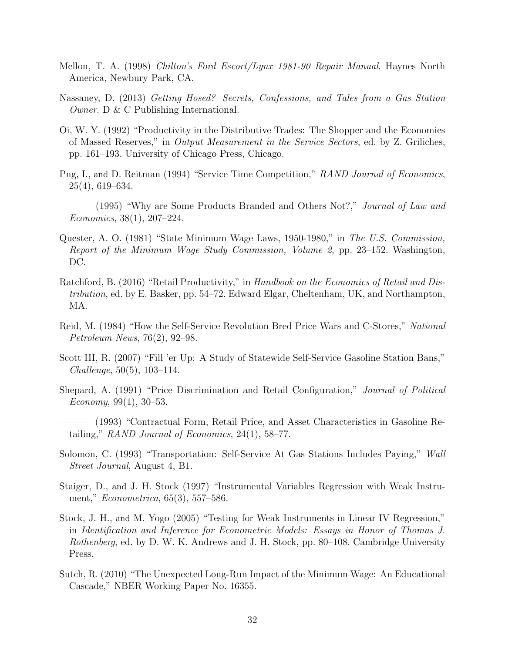- <span id="page-32-5"></span>Mellon, T. A. (1998) Chilton's Ford Escort/Lynx 1981-90 Repair Manual. Haynes North America, Newbury Park, CA.
- <span id="page-32-2"></span>Nassaney, D. (2013) Getting Hosed? Secrets, Confessions, and Tales from a Gas Station Owner. D & C Publishing International.
- <span id="page-32-3"></span>Oi, W. Y. (1992) "Productivity in the Distributive Trades: The Shopper and the Economies of Massed Reserves," in Output Measurement in the Service Sectors, ed. by Z. Griliches, pp. 161–193. University of Chicago Press, Chicago.
- <span id="page-32-6"></span>Png, I., and D. Reitman (1994) "Service Time Competition," RAND Journal of Economics, 25(4), 619–634.
- <span id="page-32-14"></span>- (1995) "Why are Some Products Branded and Others Not?," *Journal of Law and* Economics, 38(1), 207–224.
- <span id="page-32-12"></span>Quester, A. O. (1981) "State Minimum Wage Laws, 1950-1980," in The U.S. Commission, Report of the Minimum Wage Study Commission, Volume 2, pp. 23–152. Washington, DC.
- <span id="page-32-1"></span>Ratchford, B. (2016) "Retail Productivity," in Handbook on the Economics of Retail and Distribution, ed. by E. Basker, pp. 54–72. Edward Elgar, Cheltenham, UK, and Northampton, MA.
- <span id="page-32-0"></span>Reid, M. (1984) "How the Self-Service Revolution Bred Price Wars and C-Stores," National Petroleum News, 76(2), 92–98.
- <span id="page-32-4"></span>Scott III, R. (2007) "Fill 'er Up: A Study of Statewide Self-Service Gasoline Station Bans," Challenge, 50(5), 103–114.
- <span id="page-32-9"></span>Shepard, A. (1991) "Price Discrimination and Retail Configuration," Journal of Political Economy, 99(1), 30–53.
- <span id="page-32-13"></span>(1993) "Contractual Form, Retail Price, and Asset Characteristics in Gasoline Retailing," RAND Journal of Economics, 24(1), 58–77.
- <span id="page-32-10"></span>Solomon, C. (1993) "Transportation: Self-Service At Gas Stations Includes Paying," Wall Street Journal, August 4, B1.
- <span id="page-32-7"></span>Staiger, D., and J. H. Stock (1997) "Instrumental Variables Regression with Weak Instrument," Econometrica, 65(3), 557–586.
- <span id="page-32-8"></span>Stock, J. H., and M. Yogo (2005) "Testing for Weak Instruments in Linear IV Regression," in Identification and Inference for Econometric Models: Essays in Honor of Thomas J. Rothenberg, ed. by D. W. K. Andrews and J. H. Stock, pp. 80–108. Cambridge University Press.
- <span id="page-32-11"></span>Sutch, R. (2010) "The Unexpected Long-Run Impact of the Minimum Wage: An Educational Cascade," NBER Working Paper No. 16355.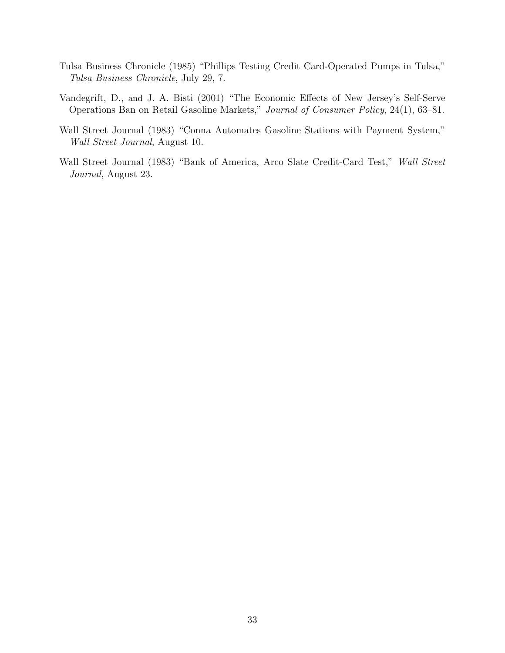- <span id="page-33-3"></span>Tulsa Business Chronicle (1985) "Phillips Testing Credit Card-Operated Pumps in Tulsa," Tulsa Business Chronicle, July 29, 7.
- <span id="page-33-0"></span>Vandegrift, D., and J. A. Bisti (2001) "The Economic Effects of New Jersey's Self-Serve Operations Ban on Retail Gasoline Markets," Journal of Consumer Policy, 24(1), 63–81.
- <span id="page-33-1"></span>Wall Street Journal (1983) "Conna Automates Gasoline Stations with Payment System," Wall Street Journal, August 10.
- <span id="page-33-2"></span>Wall Street Journal (1983) "Bank of America, Arco Slate Credit-Card Test," Wall Street Journal, August 23.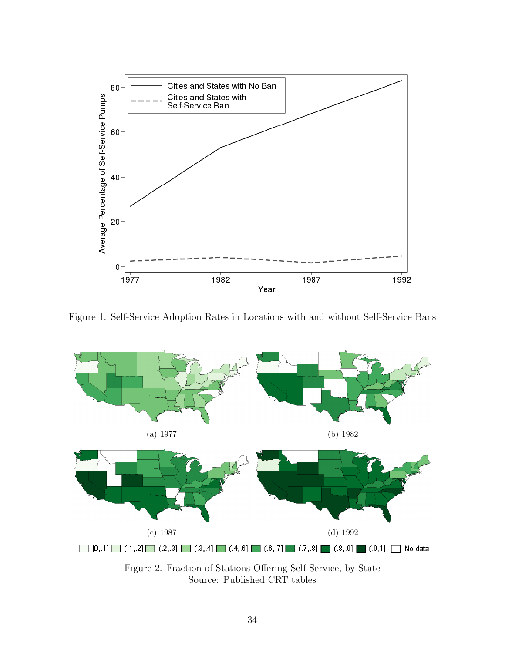<span id="page-34-0"></span>

Figure 1. Self-Service Adoption Rates in Locations with and without Self-Service Bans



Source: Published CRT tables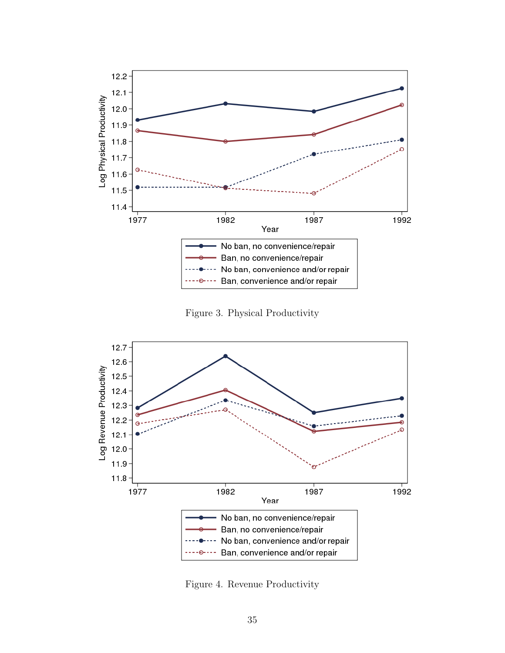<span id="page-35-0"></span>

Figure 3. Physical Productivity

<span id="page-35-1"></span>

Figure 4. Revenue Productivity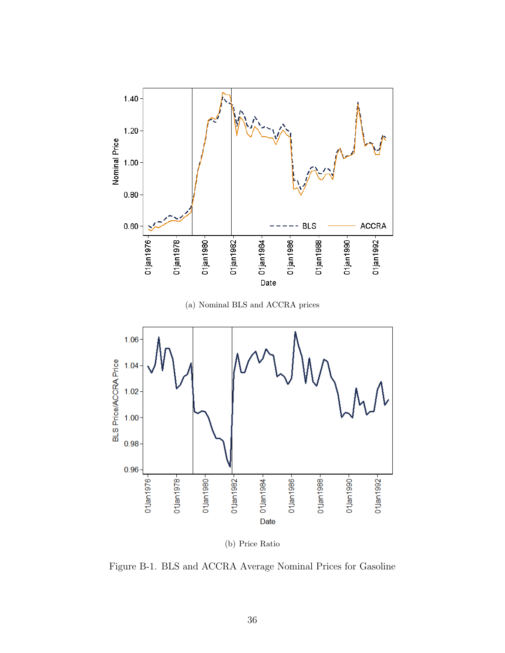<span id="page-36-0"></span>

(a) Nominal BLS and ACCRA prices



(b) Price Ratio

Figure B-1. BLS and ACCRA Average Nominal Prices for Gasoline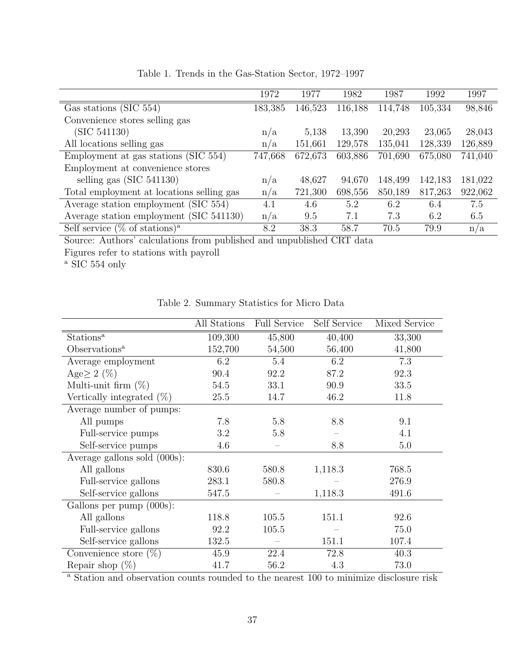<span id="page-37-0"></span>

|                                              | 1972    | 1977    | 1982    | 1987    | 1992    | 1997    |
|----------------------------------------------|---------|---------|---------|---------|---------|---------|
| Gas stations (SIC 554)                       | 183,385 | 146,523 | 116,188 | 114,748 | 105,334 | 98,846  |
| Convenience stores selling gas               |         |         |         |         |         |         |
| (SIC 541130)                                 | n/a     | 5,138   | 13,390  | 20,293  | 23,065  | 28,043  |
| All locations selling gas                    | n/a     | 151,661 | 129,578 | 135,041 | 128,339 | 126,889 |
| Employment at gas stations (SIC 554)         | 747,668 | 672,673 | 603,886 | 701,690 | 675,080 | 741,040 |
| Employment at convenience stores             |         |         |         |         |         |         |
| selling gas $(SIC 541130)$                   | n/a     | 48,627  | 94,670  | 148,499 | 142,183 | 181,022 |
| Total employment at locations selling gas    | n/a     | 721,300 | 698,556 | 850,189 | 817,263 | 922,062 |
| Average station employment (SIC 554)         | 4.1     | 4.6     | 5.2     | 6.2     | 6.4     | 7.5     |
| Average station employment (SIC 541130)      | n/a     | 9.5     | 7.1     | 7.3     | 6.2     | 6.5     |
| Self service $(\%$ of stations) <sup>a</sup> | 8.2     | 38.3    | 58.7    | 70.5    | 79.9    | n/a     |

Table 1. Trends in the Gas-Station Sector, 1972–1997

Source: Authors' calculations from published and unpublished CRT data Figures refer to stations with payroll

 $^{\rm a}$  SIC 554 only

<span id="page-37-1"></span>

|                              | All Stations | <b>Full Service</b> | Self Service | Mixed Service |
|------------------------------|--------------|---------------------|--------------|---------------|
| Stations <sup>a</sup>        | 109,300      | 45,800              | 40,400       | 33,300        |
| Observations <sup>a</sup>    | 152,700      | 54,500              | 56,400       | 41,800        |
| Average employment           | 6.2          | 5.4                 | 6.2          | 7.3           |
| Age $\geq 2$ (%)             | 90.4         | 92.2                | 87.2         | 92.3          |
| Multi-unit firm $(\%)$       | 54.5         | 33.1                | 90.9         | 33.5          |
| Vertically integrated $(\%)$ | 25.5         | 14.7                | 46.2         | 11.8          |
| Average number of pumps:     |              |                     |              |               |
| All pumps                    | 7.8          | 5.8                 | 8.8          | 9.1           |
| Full-service pumps           | 3.2          | 5.8                 |              | 4.1           |
| Self-service pumps           | 4.6          |                     | 8.8          | 5.0           |
| Average gallons sold (000s): |              |                     |              |               |
| All gallons                  | 830.6        | 580.8               | 1,118.3      | 768.5         |
| Full-service gallons         | 283.1        | 580.8               |              | 276.9         |
| Self-service gallons         | 547.5        |                     | 1,118.3      | 491.6         |
| Gallons per pump (000s):     |              |                     |              |               |
| All gallons                  | 118.8        | 105.5               | 151.1        | 92.6          |
| Full-service gallons         | 92.2         | 105.5               |              | 75.0          |
| Self-service gallons         | 132.5        |                     | 151.1        | 107.4         |
| Convenience store $(\%)$     | 45.9         | 22.4                | 72.8         | 40.3          |
| Repair shop $(\%)$           | 41.7         | 56.2                | 4.3          | 73.0          |

Table 2. Summary Statistics for Micro Data

<sup>a</sup> Station and observation counts rounded to the nearest 100 to minimize disclosure risk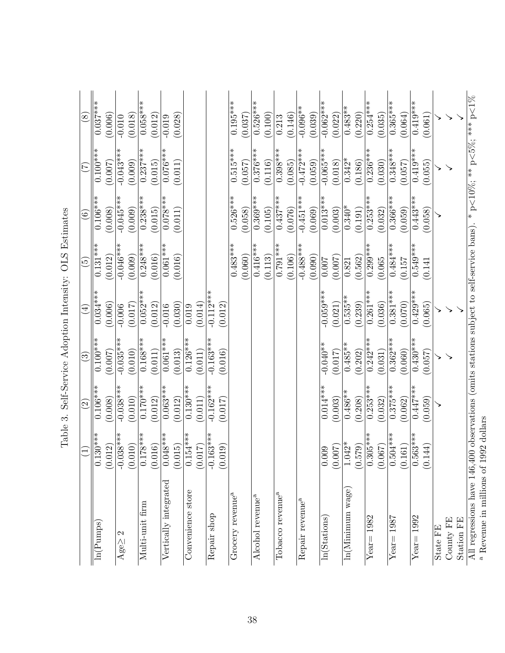|                                                                                                                        | $\Xi$                                                                                                                       | $\widehat{\mathfrak{O}}$ | $\widetilde{\omega}$ | $\widehat{A}$ | $\widehat{\boldsymbol{c}}$ | $\odot$     | $\widetilde{\mathcal{L}}$ | $\infty$    |
|------------------------------------------------------------------------------------------------------------------------|-----------------------------------------------------------------------------------------------------------------------------|--------------------------|----------------------|---------------|----------------------------|-------------|---------------------------|-------------|
| $\overline{\ln}$ (Pumps)                                                                                               | $130***$<br>$\ddot{\circ}$                                                                                                  | $0.106**$                | $0.100**$            | $0.034***$    | $0.131***$                 | $0.106**$   | $0.100***$                | $0.037***$  |
|                                                                                                                        | $\begin{array}{c} (0.012) \\ -0.038*** \\ (0.010) \\ 0.178*** \\ \hline 0.016) \\ (0.016) \\ (0.016) \\ \hline \end{array}$ | (0.008)                  | (0.007)              | (0.006)       | (0.012)                    | (0.008)     | (0.007)                   | (0.006)     |
| $Age \geq 2$                                                                                                           |                                                                                                                             | $-0.038**$               | $-0.035***$          | $-0.006$      | $-0.046***$                | $-0.045***$ | $-0.043**$                | $-0.010$    |
|                                                                                                                        |                                                                                                                             | (0.010)                  | (0.010)              | (0.017)       | (0.009)                    | (0.009)     | (0.009)                   | (0.018)     |
| Multi-unit firm                                                                                                        |                                                                                                                             | $0.170**$                | $0.168***$           | $0.052*$      | $0.248***$                 | $0.238***$  | $0.237***$                | $0.058^{*}$ |
|                                                                                                                        |                                                                                                                             | (0.012)                  | (0.011)              | (0.012)       | (0.016)                    | (0.015)     | (0.015)                   | (0.012)     |
| Vertically integrated                                                                                                  |                                                                                                                             | $0.063**$                | $0.061***$           | $-0.016$      | $0.061***$                 | $0.078***$  | $0.076***$                | $-0.019$    |
|                                                                                                                        | (0.015)                                                                                                                     | (0.012)                  | (0.013)              | (0.030)       | (0.016)                    | (0.011)     | (0.011)                   | (0.028)     |
| Convenience store                                                                                                      | $154***$                                                                                                                    | $0.130*$                 | $0.126**$            | 0.019         |                            |             |                           |             |
|                                                                                                                        | $(0.154$ <sup>*</sup><br>(0.017)                                                                                            | (0.011)                  | (0.011)              | (0.014)       |                            |             |                           |             |
| Repair shop                                                                                                            | $163***$<br>$ \vec{q} $                                                                                                     | $-0.162*$                | $-0.163**$           | $-0.112*$     |                            |             |                           |             |
|                                                                                                                        | (0.019)                                                                                                                     | (0.017)                  | (0.016)              | (0.012)       |                            |             |                           |             |
| Grocery revenue <sup>a</sup>                                                                                           |                                                                                                                             |                          |                      |               | $0.483***$                 | $0.526***$  | $0.515***$                | $0.195***$  |
|                                                                                                                        |                                                                                                                             |                          |                      |               | (0.060)                    | (0.058)     | (0.057)                   | (0.037)     |
| Alcohol revenue <sup>a</sup>                                                                                           |                                                                                                                             |                          |                      |               | $0.416***$                 | $0.369***$  | $0.376***$                | $0.526***$  |
|                                                                                                                        |                                                                                                                             |                          |                      |               | (0.113)                    | (0.105)     | (0.116)                   | (0.100)     |
| Tobacco revenue <sup>a</sup>                                                                                           |                                                                                                                             |                          |                      |               | $0.791***$                 | $0.437***$  | $0.398***$                | 0.213       |
|                                                                                                                        |                                                                                                                             |                          |                      |               | (0.106)                    | (0.076)     | (0.085)                   | (0.146)     |
| Repair revenue <sup>a</sup>                                                                                            |                                                                                                                             |                          |                      |               | $-0.488***$                | $-0.451***$ | $-0.472***$               | $-0.096**$  |
|                                                                                                                        |                                                                                                                             |                          |                      |               | (0.090)                    | (0.069)     | (0.059)                   | (0.039)     |
| ln(S <b>tations</b> )                                                                                                  |                                                                                                                             | $0.014***$               | $-0.040**$           | $-0.059***$   | 0.007                      | $0.013**$   | $-0.065*$                 | $-0.062$ ** |
|                                                                                                                        | (0.005)                                                                                                                     | (0.003)                  | (0.017)              | (0.021)       | (0.007)                    | (0.003)     | (0.018)                   | (0.022)     |
| $\ln(Minimum\ \text{wage})$                                                                                            | $1.042*$<br>(0.579)                                                                                                         | $0.486**$                | $0.485**$            | $0.535**$     | 0.821                      | $0.340*$    | $0.342*$                  | $0.483**$   |
|                                                                                                                        |                                                                                                                             | (0.208)                  | (0.202)              | (0.239)       | (0.562)                    | (0.191)     | (0.186)                   | (0.220)     |
| $Year = 1982$                                                                                                          | $\frac{0.305^{***}}{0.067}$                                                                                                 | $0.253**$                | $0.242**$            | $0.261***$    | $0.299**$                  | $0.253**$   | $\overline{0.236}^{**}$   | $0.254***$  |
|                                                                                                                        |                                                                                                                             | (0.032)                  | (0.031)              | (0.036)       | (0.065)                    | (0.032)     | (0.030)                   | (0.035)     |
| $Year = 1987$                                                                                                          | $\frac{1}{0.504***}$                                                                                                        | $0.375***$               | $0.362***$           | $0.381**$     | $0.484***$                 | $0.366**$   | $0.348**$                 | $0.365***$  |
|                                                                                                                        |                                                                                                                             | (0.062)                  | (0.060)              | (0.070)       | (0.157)                    | (0.059)     | (0.057)                   | (0.064)     |
| $Year = 1992$                                                                                                          | $(0.563***$<br>(0.144)                                                                                                      | $0.447***$               | $0.430***$           | $0.429**$     | $0.549***$                 | $0.443**$   | $0.419*$                  | $0.419**$   |
|                                                                                                                        |                                                                                                                             | (0.059)                  | (0.057)              | (0.065)       | (0.141)                    | (0.058)     | (0.055)                   | (0.061)     |
| State FE                                                                                                               |                                                                                                                             |                          |                      |               |                            |             |                           |             |
| County FE                                                                                                              |                                                                                                                             |                          |                      |               |                            |             |                           |             |
| Station FE                                                                                                             |                                                                                                                             |                          |                      |               |                            |             |                           |             |
| All regressions have 146,400 observations (omits stations subject to self-service bans). * $p<10\%$ ; ** $p<5\%$ ; *** |                                                                                                                             |                          |                      |               |                            |             |                           | $p\!<\!1\%$ |
| <sup>a</sup> Revenue in millions of 1992 dollars                                                                       |                                                                                                                             |                          |                      |               |                            |             |                           |             |

<span id="page-38-0"></span>

| <b>Service Service</b><br>۱<br>l<br>I<br>Į<br>ーくりく<br>j                                    |
|--------------------------------------------------------------------------------------------|
| ļ<br>I<br>l<br>I                                                                           |
| I<br>)                                                                                     |
| J<br>י<br>$\ddot{\cdot}$<br>ׅׅ֚֚֚֚֚֚֚֚֚֚֚֚֚֚֚֚֚֚֚֚֚֚֚֚֚֚֚֚֡֡֡֜֝֡֜֝֬֝֝<br>$\zeta$<br>ı<br>ł |
| I                                                                                          |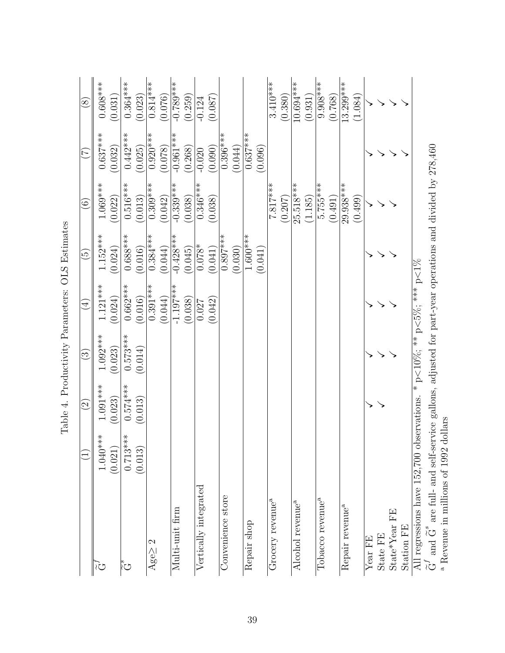| $0.396***$<br>$\tilde{\text{G}}^f$ and $\tilde{\text{G}}^s$ are full- and self-service gallons, adjusted for part-year operations and divided by 278,460<br>(0.025)<br>(0.078)<br>(0.090)<br>(0.044)<br>(0.268)<br>(0.096)<br>(0.032)<br>$-0.020$<br>25.518***<br>$1.069***$<br>$0.516***$<br>$7.817***$<br>$5.755***$<br>29.938***<br>$0.309***$<br>$0.346***$<br>$-0.339***$<br>(0.013)<br>(0.042)<br>(0.038)<br>(1.185)<br>(0.491)<br>(0.499)<br>(0.022)<br>(0.038)<br>(0.207)<br>$0.688***$<br>$1.152***$<br>$1.600***$<br>$0.384***$<br>$-0.428***$<br>$0.897***$<br>$0.078*$<br>(0.041)<br>(0.016)<br>(0.024)<br>(0.044)<br>(0.045)<br>(0.030)<br>(0.041)<br>* p<10%; ** p<5%; *** p<1%<br>$0.662***$<br>$1.121***$<br>$0.391***$<br>$-1.197***$<br>(0.044)<br>(0.016)<br>(0.024)<br>(0.038)<br>(0.042)<br>0.027<br>$0.573***$<br>$1.092***$<br>(0.014)<br>(0.023)<br>$0.574***$<br>$1.091***$<br>All regressions have 152,700 observations.<br>(0.013)<br>(0.023)<br>$0.713***$<br>$1.040***$<br>(0.021)<br>(0.013)<br>Vertically integrated<br>Convenience store<br>Tobacco revenue <sup>a</sup><br>Grocery revenue <sup>a</sup><br>Alcohol revenue <sup>a</sup><br>Repair revenue <sup>a</sup><br>Multi-unit firm<br>$\operatorname{State}^*\operatorname{Year} \mathbf{FE}$<br>Repair shop<br>Station FE<br>State FE<br>Year FE<br>Agegeq 2<br>رح |                      | $\widetilde{\Omega}$ | $\widetilde{\mathbb{C}}$ | $\widehat{\mathcal{A}}$ | $\widetilde{\mathbb{G}}$ | $\widehat{\odot}$ | É            | $\circledS$ |
|-------------------------------------------------------------------------------------------------------------------------------------------------------------------------------------------------------------------------------------------------------------------------------------------------------------------------------------------------------------------------------------------------------------------------------------------------------------------------------------------------------------------------------------------------------------------------------------------------------------------------------------------------------------------------------------------------------------------------------------------------------------------------------------------------------------------------------------------------------------------------------------------------------------------------------------------------------------------------------------------------------------------------------------------------------------------------------------------------------------------------------------------------------------------------------------------------------------------------------------------------------------------------------------------------------------------------------------------------------------|----------------------|----------------------|--------------------------|-------------------------|--------------------------|-------------------|--------------|-------------|
|                                                                                                                                                                                                                                                                                                                                                                                                                                                                                                                                                                                                                                                                                                                                                                                                                                                                                                                                                                                                                                                                                                                                                                                                                                                                                                                                                             |                      |                      |                          |                         |                          |                   | $0.637***$   | $0.608***$  |
|                                                                                                                                                                                                                                                                                                                                                                                                                                                                                                                                                                                                                                                                                                                                                                                                                                                                                                                                                                                                                                                                                                                                                                                                                                                                                                                                                             |                      |                      |                          |                         |                          |                   |              | (0.031)     |
|                                                                                                                                                                                                                                                                                                                                                                                                                                                                                                                                                                                                                                                                                                                                                                                                                                                                                                                                                                                                                                                                                                                                                                                                                                                                                                                                                             |                      |                      |                          |                         |                          |                   | $0.442***$   | $0.364***$  |
|                                                                                                                                                                                                                                                                                                                                                                                                                                                                                                                                                                                                                                                                                                                                                                                                                                                                                                                                                                                                                                                                                                                                                                                                                                                                                                                                                             |                      |                      |                          |                         |                          |                   |              | (0.023)     |
|                                                                                                                                                                                                                                                                                                                                                                                                                                                                                                                                                                                                                                                                                                                                                                                                                                                                                                                                                                                                                                                                                                                                                                                                                                                                                                                                                             |                      |                      |                          |                         |                          |                   | $0.920***$   | $0.814***$  |
|                                                                                                                                                                                                                                                                                                                                                                                                                                                                                                                                                                                                                                                                                                                                                                                                                                                                                                                                                                                                                                                                                                                                                                                                                                                                                                                                                             |                      |                      |                          |                         |                          |                   |              | (0.076)     |
|                                                                                                                                                                                                                                                                                                                                                                                                                                                                                                                                                                                                                                                                                                                                                                                                                                                                                                                                                                                                                                                                                                                                                                                                                                                                                                                                                             |                      |                      |                          |                         |                          |                   | $-0.961$ *** | $-0.789***$ |
|                                                                                                                                                                                                                                                                                                                                                                                                                                                                                                                                                                                                                                                                                                                                                                                                                                                                                                                                                                                                                                                                                                                                                                                                                                                                                                                                                             |                      |                      |                          |                         |                          |                   |              | (0.259)     |
|                                                                                                                                                                                                                                                                                                                                                                                                                                                                                                                                                                                                                                                                                                                                                                                                                                                                                                                                                                                                                                                                                                                                                                                                                                                                                                                                                             |                      |                      |                          |                         |                          |                   |              | $-0.124$    |
|                                                                                                                                                                                                                                                                                                                                                                                                                                                                                                                                                                                                                                                                                                                                                                                                                                                                                                                                                                                                                                                                                                                                                                                                                                                                                                                                                             |                      |                      |                          |                         |                          |                   |              | (0.087)     |
|                                                                                                                                                                                                                                                                                                                                                                                                                                                                                                                                                                                                                                                                                                                                                                                                                                                                                                                                                                                                                                                                                                                                                                                                                                                                                                                                                             |                      |                      |                          |                         |                          |                   |              |             |
|                                                                                                                                                                                                                                                                                                                                                                                                                                                                                                                                                                                                                                                                                                                                                                                                                                                                                                                                                                                                                                                                                                                                                                                                                                                                                                                                                             |                      |                      |                          |                         |                          |                   |              |             |
|                                                                                                                                                                                                                                                                                                                                                                                                                                                                                                                                                                                                                                                                                                                                                                                                                                                                                                                                                                                                                                                                                                                                                                                                                                                                                                                                                             |                      |                      |                          |                         |                          |                   | $0.637***$   |             |
|                                                                                                                                                                                                                                                                                                                                                                                                                                                                                                                                                                                                                                                                                                                                                                                                                                                                                                                                                                                                                                                                                                                                                                                                                                                                                                                                                             |                      |                      |                          |                         |                          |                   |              |             |
|                                                                                                                                                                                                                                                                                                                                                                                                                                                                                                                                                                                                                                                                                                                                                                                                                                                                                                                                                                                                                                                                                                                                                                                                                                                                                                                                                             |                      |                      |                          |                         |                          |                   |              | $3.410***$  |
|                                                                                                                                                                                                                                                                                                                                                                                                                                                                                                                                                                                                                                                                                                                                                                                                                                                                                                                                                                                                                                                                                                                                                                                                                                                                                                                                                             |                      |                      |                          |                         |                          |                   |              | (0.380)     |
|                                                                                                                                                                                                                                                                                                                                                                                                                                                                                                                                                                                                                                                                                                                                                                                                                                                                                                                                                                                                                                                                                                                                                                                                                                                                                                                                                             |                      |                      |                          |                         |                          |                   |              | $10.694***$ |
|                                                                                                                                                                                                                                                                                                                                                                                                                                                                                                                                                                                                                                                                                                                                                                                                                                                                                                                                                                                                                                                                                                                                                                                                                                                                                                                                                             |                      |                      |                          |                         |                          |                   |              | (0.931)     |
|                                                                                                                                                                                                                                                                                                                                                                                                                                                                                                                                                                                                                                                                                                                                                                                                                                                                                                                                                                                                                                                                                                                                                                                                                                                                                                                                                             |                      |                      |                          |                         |                          |                   |              | $9.908***$  |
|                                                                                                                                                                                                                                                                                                                                                                                                                                                                                                                                                                                                                                                                                                                                                                                                                                                                                                                                                                                                                                                                                                                                                                                                                                                                                                                                                             |                      |                      |                          |                         |                          |                   |              | (0.768)     |
|                                                                                                                                                                                                                                                                                                                                                                                                                                                                                                                                                                                                                                                                                                                                                                                                                                                                                                                                                                                                                                                                                                                                                                                                                                                                                                                                                             |                      |                      |                          |                         |                          |                   |              | $13.299***$ |
|                                                                                                                                                                                                                                                                                                                                                                                                                                                                                                                                                                                                                                                                                                                                                                                                                                                                                                                                                                                                                                                                                                                                                                                                                                                                                                                                                             |                      |                      |                          |                         |                          |                   |              | (1.084)     |
|                                                                                                                                                                                                                                                                                                                                                                                                                                                                                                                                                                                                                                                                                                                                                                                                                                                                                                                                                                                                                                                                                                                                                                                                                                                                                                                                                             |                      |                      |                          |                         |                          |                   |              |             |
|                                                                                                                                                                                                                                                                                                                                                                                                                                                                                                                                                                                                                                                                                                                                                                                                                                                                                                                                                                                                                                                                                                                                                                                                                                                                                                                                                             |                      |                      |                          |                         |                          |                   |              |             |
|                                                                                                                                                                                                                                                                                                                                                                                                                                                                                                                                                                                                                                                                                                                                                                                                                                                                                                                                                                                                                                                                                                                                                                                                                                                                                                                                                             |                      |                      |                          |                         |                          |                   |              |             |
|                                                                                                                                                                                                                                                                                                                                                                                                                                                                                                                                                                                                                                                                                                                                                                                                                                                                                                                                                                                                                                                                                                                                                                                                                                                                                                                                                             |                      |                      |                          |                         |                          |                   |              |             |
|                                                                                                                                                                                                                                                                                                                                                                                                                                                                                                                                                                                                                                                                                                                                                                                                                                                                                                                                                                                                                                                                                                                                                                                                                                                                                                                                                             |                      |                      |                          |                         |                          |                   |              |             |
| n<br>a                                                                                                                                                                                                                                                                                                                                                                                                                                                                                                                                                                                                                                                                                                                                                                                                                                                                                                                                                                                                                                                                                                                                                                                                                                                                                                                                                      | $L_{\rm{L}}$ coor 1. |                      |                          |                         |                          |                   |              |             |

<span id="page-39-0"></span>Table 4. Productivity Parameters: OLS Estimates Table 4. Productivity Parameters: OLS Estimates

Revenue in millions of 1992 dollars